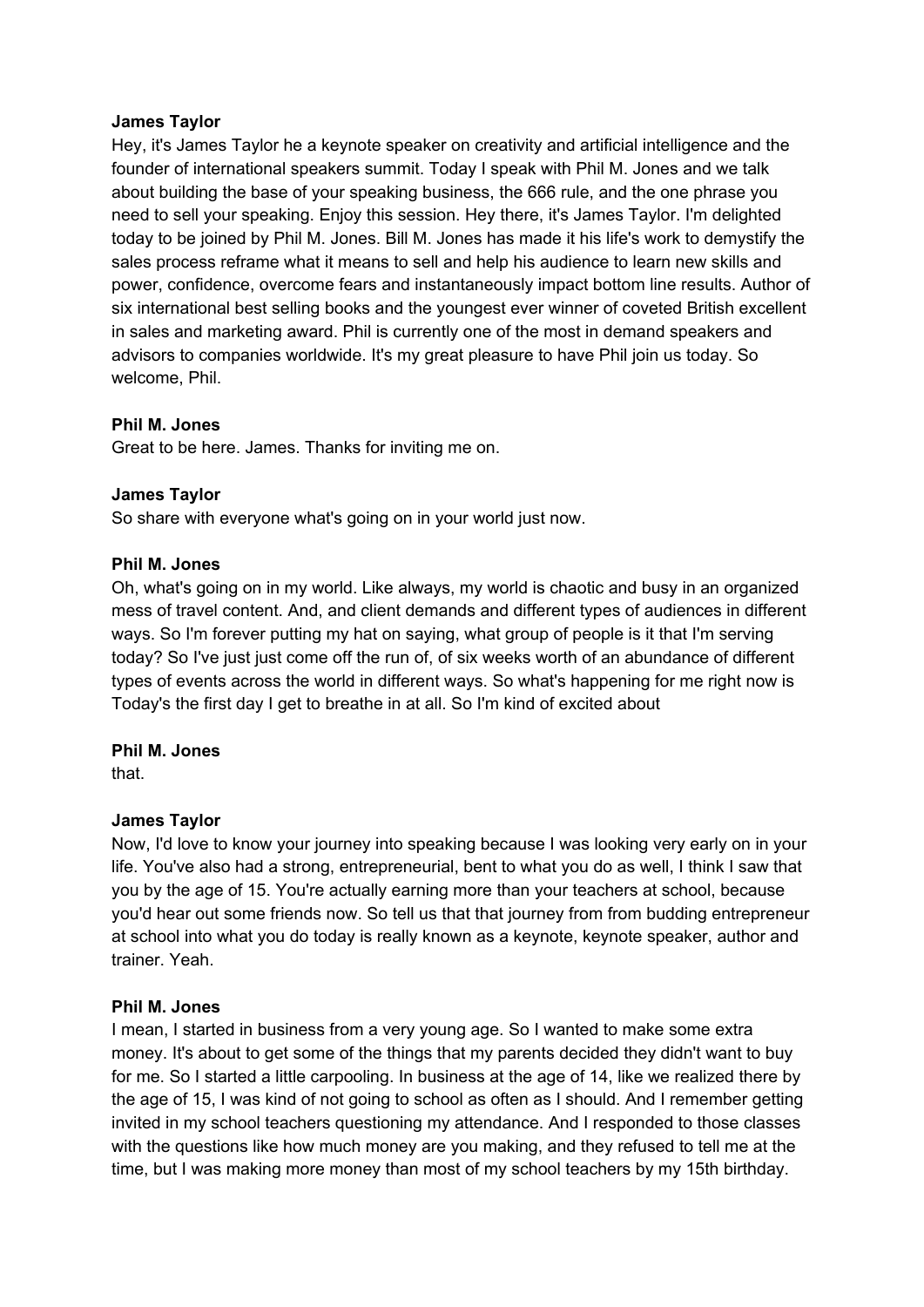# **James Taylor**

Hey, it's James Taylor he a keynote speaker on creativity and artificial intelligence and the founder of international speakers summit. Today I speak with Phil M. Jones and we talk about building the base of your speaking business, the 666 rule, and the one phrase you need to sell your speaking. Enjoy this session. Hey there, it's James Taylor. I'm delighted today to be joined by Phil M. Jones. Bill M. Jones has made it his life's work to demystify the sales process reframe what it means to sell and help his audience to learn new skills and power, confidence, overcome fears and instantaneously impact bottom line results. Author of six international best selling books and the youngest ever winner of coveted British excellent in sales and marketing award. Phil is currently one of the most in demand speakers and advisors to companies worldwide. It's my great pleasure to have Phil join us today. So welcome, Phil.

# **Phil M. Jones**

Great to be here. James. Thanks for inviting me on.

# **James Taylor**

So share with everyone what's going on in your world just now.

# **Phil M. Jones**

Oh, what's going on in my world. Like always, my world is chaotic and busy in an organized mess of travel content. And, and client demands and different types of audiences in different ways. So I'm forever putting my hat on saying, what group of people is it that I'm serving today? So I've just just come off the run of, of six weeks worth of an abundance of different types of events across the world in different ways. So what's happening for me right now is Today's the first day I get to breathe in at all. So I'm kind of excited about

# **Phil M. Jones**

that.

# **James Taylor**

Now, I'd love to know your journey into speaking because I was looking very early on in your life. You've also had a strong, entrepreneurial, bent to what you do as well, I think I saw that you by the age of 15. You're actually earning more than your teachers at school, because you'd hear out some friends now. So tell us that that journey from from budding entrepreneur at school into what you do today is really known as a keynote, keynote speaker, author and trainer. Yeah.

# **Phil M. Jones**

I mean, I started in business from a very young age. So I wanted to make some extra money. It's about to get some of the things that my parents decided they didn't want to buy for me. So I started a little carpooling. In business at the age of 14, like we realized there by the age of 15, I was kind of not going to school as often as I should. And I remember getting invited in my school teachers questioning my attendance. And I responded to those classes with the questions like how much money are you making, and they refused to tell me at the time, but I was making more money than most of my school teachers by my 15th birthday.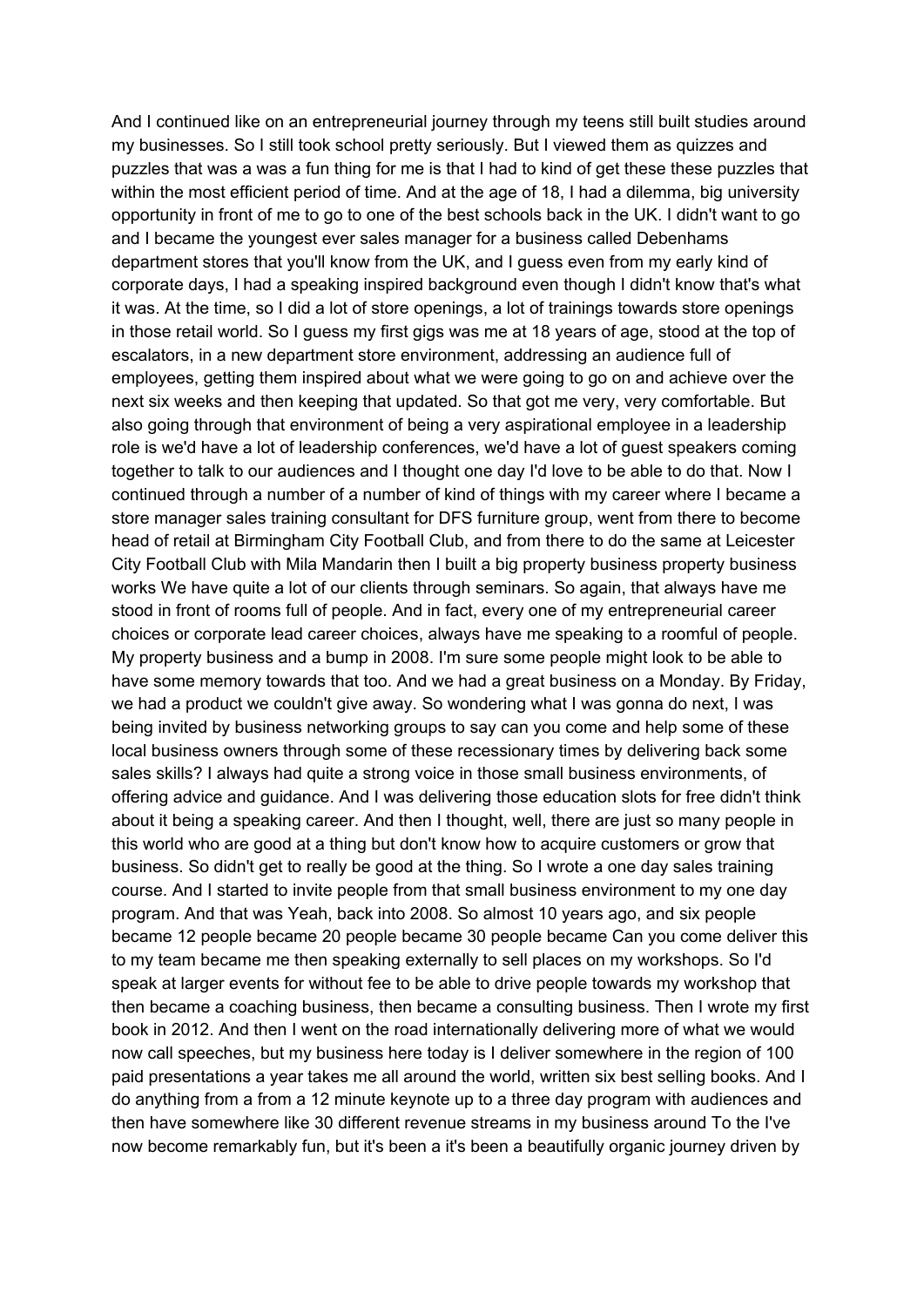And I continued like on an entrepreneurial journey through my teens still built studies around my businesses. So I still took school pretty seriously. But I viewed them as quizzes and puzzles that was a was a fun thing for me is that I had to kind of get these these puzzles that within the most efficient period of time. And at the age of 18, I had a dilemma, big university opportunity in front of me to go to one of the best schools back in the UK. I didn't want to go and I became the youngest ever sales manager for a business called Debenhams department stores that you'll know from the UK, and I guess even from my early kind of corporate days, I had a speaking inspired background even though I didn't know that's what it was. At the time, so I did a lot of store openings, a lot of trainings towards store openings in those retail world. So I guess my first gigs was me at 18 years of age, stood at the top of escalators, in a new department store environment, addressing an audience full of employees, getting them inspired about what we were going to go on and achieve over the next six weeks and then keeping that updated. So that got me very, very comfortable. But also going through that environment of being a very aspirational employee in a leadership role is we'd have a lot of leadership conferences, we'd have a lot of guest speakers coming together to talk to our audiences and I thought one day I'd love to be able to do that. Now I continued through a number of a number of kind of things with my career where I became a store manager sales training consultant for DFS furniture group, went from there to become head of retail at Birmingham City Football Club, and from there to do the same at Leicester City Football Club with Mila Mandarin then I built a big property business property business works We have quite a lot of our clients through seminars. So again, that always have me stood in front of rooms full of people. And in fact, every one of my entrepreneurial career choices or corporate lead career choices, always have me speaking to a roomful of people. My property business and a bump in 2008. I'm sure some people might look to be able to have some memory towards that too. And we had a great business on a Monday. By Friday, we had a product we couldn't give away. So wondering what I was gonna do next, I was being invited by business networking groups to say can you come and help some of these local business owners through some of these recessionary times by delivering back some sales skills? I always had quite a strong voice in those small business environments, of offering advice and guidance. And I was delivering those education slots for free didn't think about it being a speaking career. And then I thought, well, there are just so many people in this world who are good at a thing but don't know how to acquire customers or grow that business. So didn't get to really be good at the thing. So I wrote a one day sales training course. And I started to invite people from that small business environment to my one day program. And that was Yeah, back into 2008. So almost 10 years ago, and six people became 12 people became 20 people became 30 people became Can you come deliver this to my team became me then speaking externally to sell places on my workshops. So I'd speak at larger events for without fee to be able to drive people towards my workshop that then became a coaching business, then became a consulting business. Then I wrote my first book in 2012. And then I went on the road internationally delivering more of what we would now call speeches, but my business here today is I deliver somewhere in the region of 100 paid presentations a year takes me all around the world, written six best selling books. And I do anything from a from a 12 minute keynote up to a three day program with audiences and then have somewhere like 30 different revenue streams in my business around To the I've now become remarkably fun, but it's been a it's been a beautifully organic journey driven by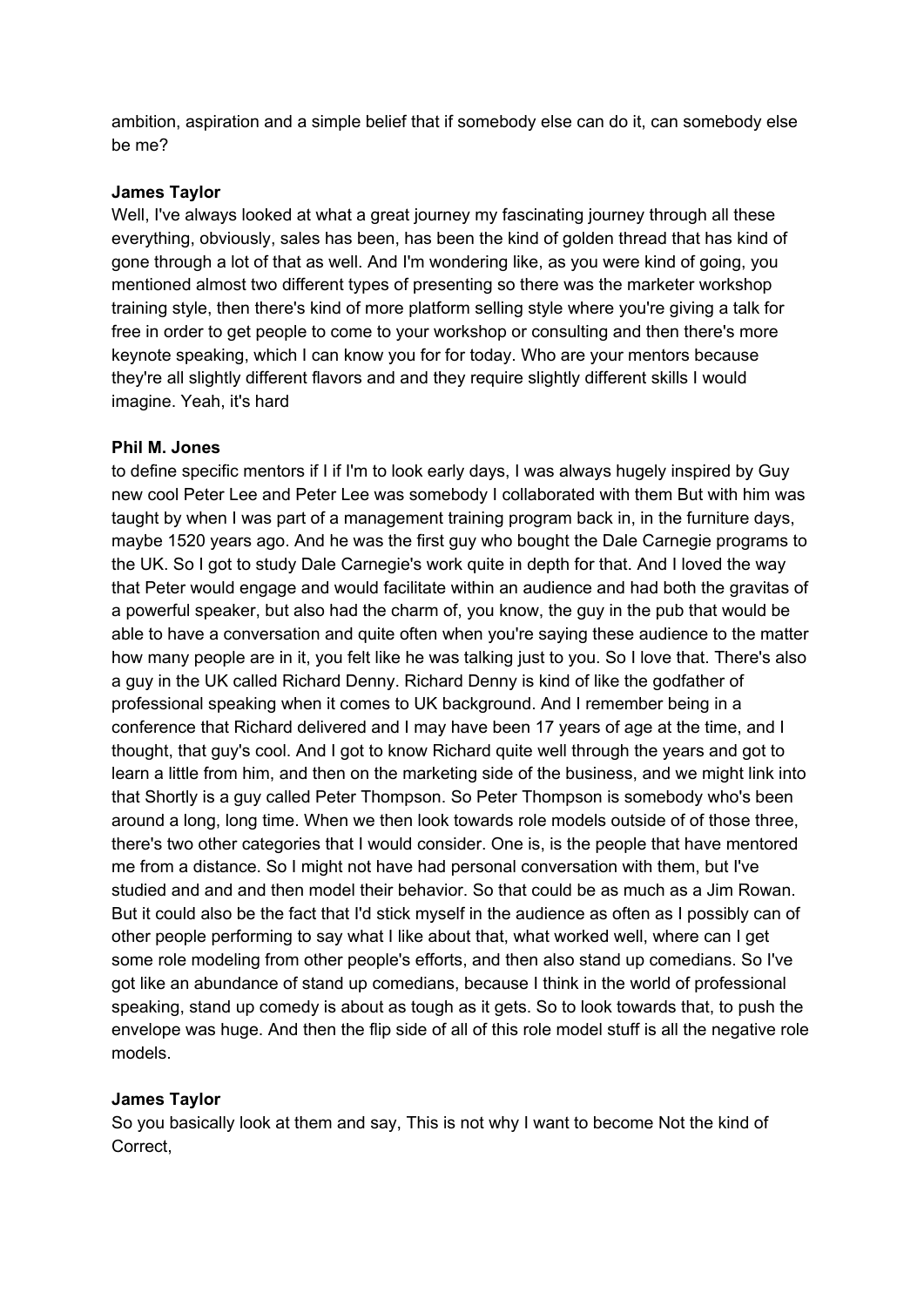ambition, aspiration and a simple belief that if somebody else can do it, can somebody else be me?

### **James Taylor**

Well, I've always looked at what a great journey my fascinating journey through all these everything, obviously, sales has been, has been the kind of golden thread that has kind of gone through a lot of that as well. And I'm wondering like, as you were kind of going, you mentioned almost two different types of presenting so there was the marketer workshop training style, then there's kind of more platform selling style where you're giving a talk for free in order to get people to come to your workshop or consulting and then there's more keynote speaking, which I can know you for for today. Who are your mentors because they're all slightly different flavors and and they require slightly different skills I would imagine. Yeah, it's hard

#### **Phil M. Jones**

to define specific mentors if I if I'm to look early days, I was always hugely inspired by Guy new cool Peter Lee and Peter Lee was somebody I collaborated with them But with him was taught by when I was part of a management training program back in, in the furniture days, maybe 1520 years ago. And he was the first guy who bought the Dale Carnegie programs to the UK. So I got to study Dale Carnegie's work quite in depth for that. And I loved the way that Peter would engage and would facilitate within an audience and had both the gravitas of a powerful speaker, but also had the charm of, you know, the guy in the pub that would be able to have a conversation and quite often when you're saying these audience to the matter how many people are in it, you felt like he was talking just to you. So I love that. There's also a guy in the UK called Richard Denny. Richard Denny is kind of like the godfather of professional speaking when it comes to UK background. And I remember being in a conference that Richard delivered and I may have been 17 years of age at the time, and I thought, that guy's cool. And I got to know Richard quite well through the years and got to learn a little from him, and then on the marketing side of the business, and we might link into that Shortly is a guy called Peter Thompson. So Peter Thompson is somebody who's been around a long, long time. When we then look towards role models outside of of those three, there's two other categories that I would consider. One is, is the people that have mentored me from a distance. So I might not have had personal conversation with them, but I've studied and and and then model their behavior. So that could be as much as a Jim Rowan. But it could also be the fact that I'd stick myself in the audience as often as I possibly can of other people performing to say what I like about that, what worked well, where can I get some role modeling from other people's efforts, and then also stand up comedians. So I've got like an abundance of stand up comedians, because I think in the world of professional speaking, stand up comedy is about as tough as it gets. So to look towards that, to push the envelope was huge. And then the flip side of all of this role model stuff is all the negative role models.

# **James Taylor**

So you basically look at them and say, This is not why I want to become Not the kind of Correct,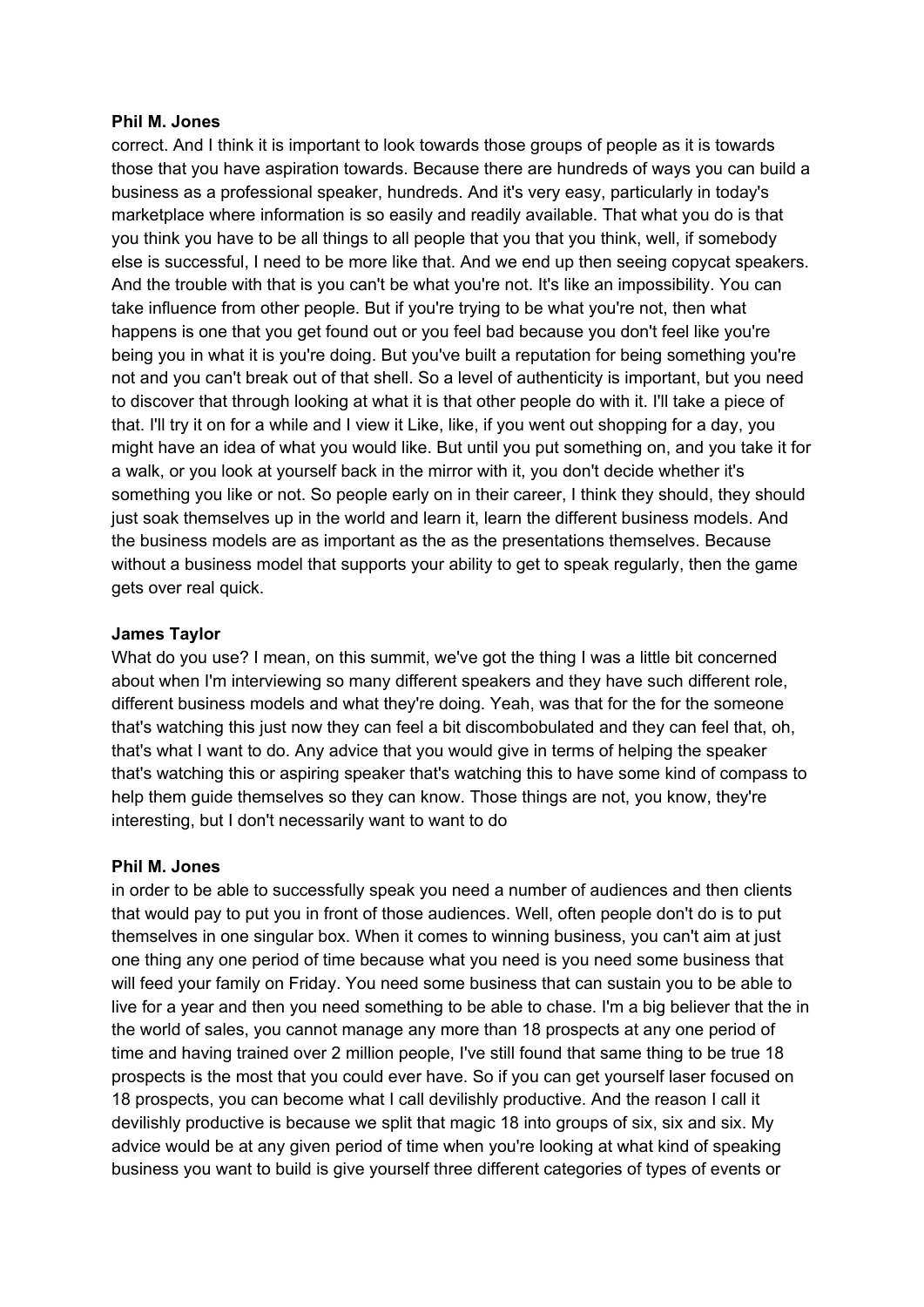#### **Phil M. Jones**

correct. And I think it is important to look towards those groups of people as it is towards those that you have aspiration towards. Because there are hundreds of ways you can build a business as a professional speaker, hundreds. And it's very easy, particularly in today's marketplace where information is so easily and readily available. That what you do is that you think you have to be all things to all people that you that you think, well, if somebody else is successful, I need to be more like that. And we end up then seeing copycat speakers. And the trouble with that is you can't be what you're not. It's like an impossibility. You can take influence from other people. But if you're trying to be what you're not, then what happens is one that you get found out or you feel bad because you don't feel like you're being you in what it is you're doing. But you've built a reputation for being something you're not and you can't break out of that shell. So a level of authenticity is important, but you need to discover that through looking at what it is that other people do with it. I'll take a piece of that. I'll try it on for a while and I view it Like, like, if you went out shopping for a day, you might have an idea of what you would like. But until you put something on, and you take it for a walk, or you look at yourself back in the mirror with it, you don't decide whether it's something you like or not. So people early on in their career, I think they should, they should just soak themselves up in the world and learn it, learn the different business models. And the business models are as important as the as the presentations themselves. Because without a business model that supports your ability to get to speak regularly, then the game gets over real quick.

# **James Taylor**

What do you use? I mean, on this summit, we've got the thing I was a little bit concerned about when I'm interviewing so many different speakers and they have such different role, different business models and what they're doing. Yeah, was that for the for the someone that's watching this just now they can feel a bit discombobulated and they can feel that, oh, that's what I want to do. Any advice that you would give in terms of helping the speaker that's watching this or aspiring speaker that's watching this to have some kind of compass to help them guide themselves so they can know. Those things are not, you know, they're interesting, but I don't necessarily want to want to do

# **Phil M. Jones**

in order to be able to successfully speak you need a number of audiences and then clients that would pay to put you in front of those audiences. Well, often people don't do is to put themselves in one singular box. When it comes to winning business, you can't aim at just one thing any one period of time because what you need is you need some business that will feed your family on Friday. You need some business that can sustain you to be able to live for a year and then you need something to be able to chase. I'm a big believer that the in the world of sales, you cannot manage any more than 18 prospects at any one period of time and having trained over 2 million people, I've still found that same thing to be true 18 prospects is the most that you could ever have. So if you can get yourself laser focused on 18 prospects, you can become what I call devilishly productive. And the reason I call it devilishly productive is because we split that magic 18 into groups of six, six and six. My advice would be at any given period of time when you're looking at what kind of speaking business you want to build is give yourself three different categories of types of events or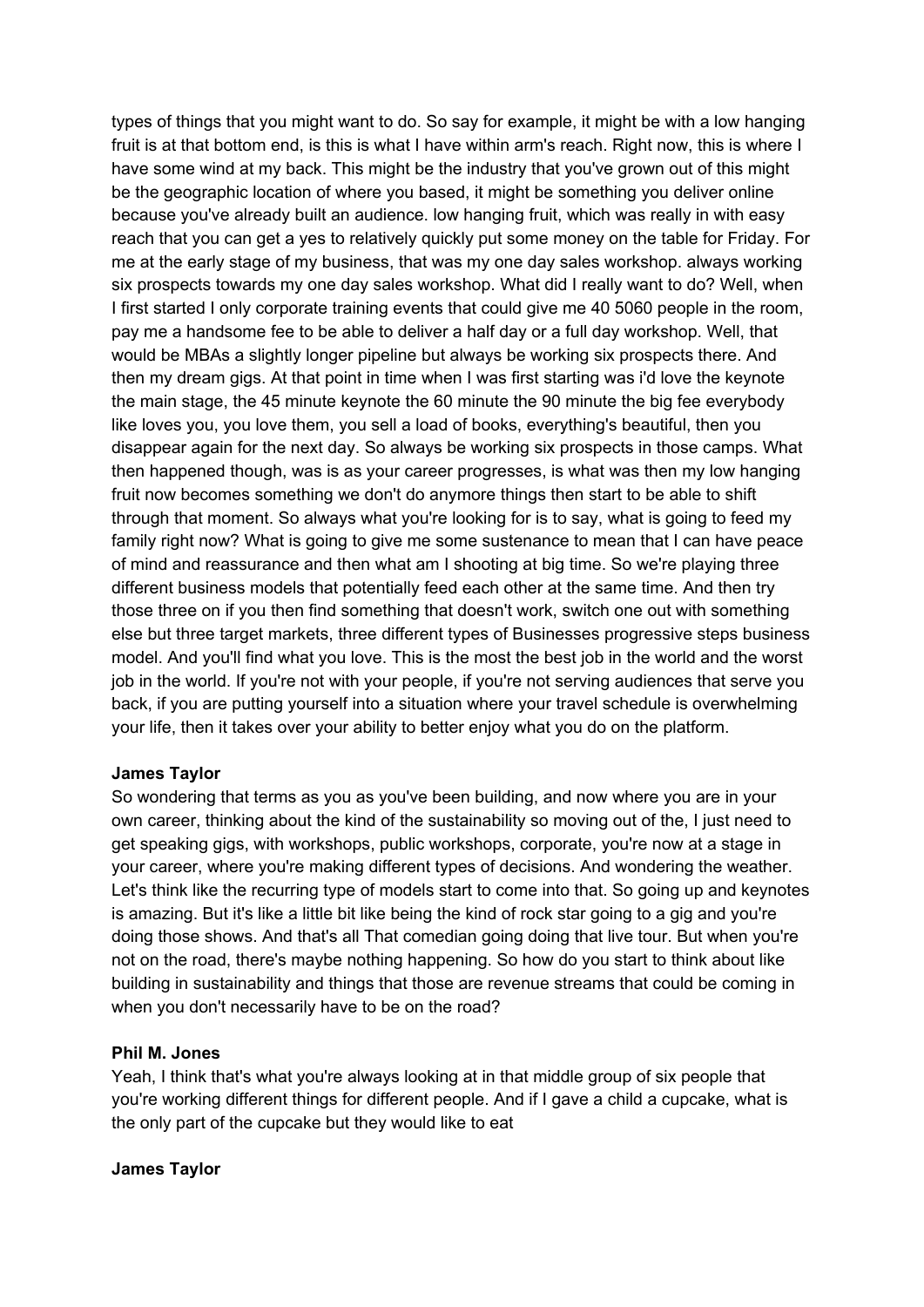types of things that you might want to do. So say for example, it might be with a low hanging fruit is at that bottom end, is this is what I have within arm's reach. Right now, this is where I have some wind at my back. This might be the industry that you've grown out of this might be the geographic location of where you based, it might be something you deliver online because you've already built an audience. low hanging fruit, which was really in with easy reach that you can get a yes to relatively quickly put some money on the table for Friday. For me at the early stage of my business, that was my one day sales workshop. always working six prospects towards my one day sales workshop. What did I really want to do? Well, when I first started I only corporate training events that could give me 40 5060 people in the room, pay me a handsome fee to be able to deliver a half day or a full day workshop. Well, that would be MBAs a slightly longer pipeline but always be working six prospects there. And then my dream gigs. At that point in time when I was first starting was i'd love the keynote the main stage, the 45 minute keynote the 60 minute the 90 minute the big fee everybody like loves you, you love them, you sell a load of books, everything's beautiful, then you disappear again for the next day. So always be working six prospects in those camps. What then happened though, was is as your career progresses, is what was then my low hanging fruit now becomes something we don't do anymore things then start to be able to shift through that moment. So always what you're looking for is to say, what is going to feed my family right now? What is going to give me some sustenance to mean that I can have peace of mind and reassurance and then what am I shooting at big time. So we're playing three different business models that potentially feed each other at the same time. And then try those three on if you then find something that doesn't work, switch one out with something else but three target markets, three different types of Businesses progressive steps business model. And you'll find what you love. This is the most the best job in the world and the worst job in the world. If you're not with your people, if you're not serving audiences that serve you back, if you are putting yourself into a situation where your travel schedule is overwhelming your life, then it takes over your ability to better enjoy what you do on the platform.

# **James Taylor**

So wondering that terms as you as you've been building, and now where you are in your own career, thinking about the kind of the sustainability so moving out of the, I just need to get speaking gigs, with workshops, public workshops, corporate, you're now at a stage in your career, where you're making different types of decisions. And wondering the weather. Let's think like the recurring type of models start to come into that. So going up and keynotes is amazing. But it's like a little bit like being the kind of rock star going to a gig and you're doing those shows. And that's all That comedian going doing that live tour. But when you're not on the road, there's maybe nothing happening. So how do you start to think about like building in sustainability and things that those are revenue streams that could be coming in when you don't necessarily have to be on the road?

# **Phil M. Jones**

Yeah, I think that's what you're always looking at in that middle group of six people that you're working different things for different people. And if I gave a child a cupcake, what is the only part of the cupcake but they would like to eat

# **James Taylor**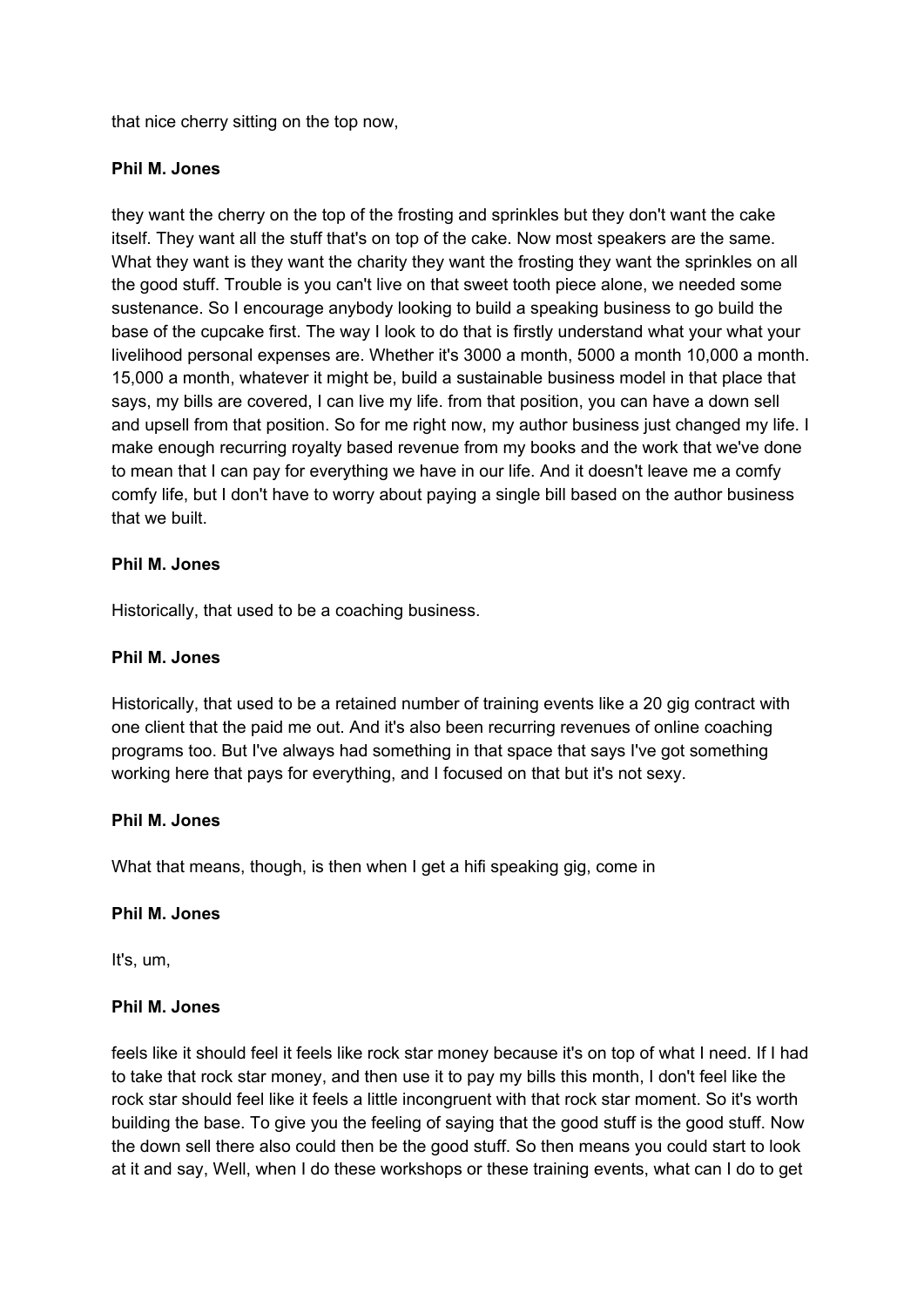that nice cherry sitting on the top now,

# **Phil M. Jones**

they want the cherry on the top of the frosting and sprinkles but they don't want the cake itself. They want all the stuff that's on top of the cake. Now most speakers are the same. What they want is they want the charity they want the frosting they want the sprinkles on all the good stuff. Trouble is you can't live on that sweet tooth piece alone, we needed some sustenance. So I encourage anybody looking to build a speaking business to go build the base of the cupcake first. The way I look to do that is firstly understand what your what your livelihood personal expenses are. Whether it's 3000 a month, 5000 a month 10,000 a month. 15,000 a month, whatever it might be, build a sustainable business model in that place that says, my bills are covered, I can live my life. from that position, you can have a down sell and upsell from that position. So for me right now, my author business just changed my life. I make enough recurring royalty based revenue from my books and the work that we've done to mean that I can pay for everything we have in our life. And it doesn't leave me a comfy comfy life, but I don't have to worry about paying a single bill based on the author business that we built.

# **Phil M. Jones**

Historically, that used to be a coaching business.

# **Phil M. Jones**

Historically, that used to be a retained number of training events like a 20 gig contract with one client that the paid me out. And it's also been recurring revenues of online coaching programs too. But I've always had something in that space that says I've got something working here that pays for everything, and I focused on that but it's not sexy.

# **Phil M. Jones**

What that means, though, is then when I get a hifi speaking gig, come in

# **Phil M. Jones**

It's, um,

# **Phil M. Jones**

feels like it should feel it feels like rock star money because it's on top of what I need. If I had to take that rock star money, and then use it to pay my bills this month, I don't feel like the rock star should feel like it feels a little incongruent with that rock star moment. So it's worth building the base. To give you the feeling of saying that the good stuff is the good stuff. Now the down sell there also could then be the good stuff. So then means you could start to look at it and say, Well, when I do these workshops or these training events, what can I do to get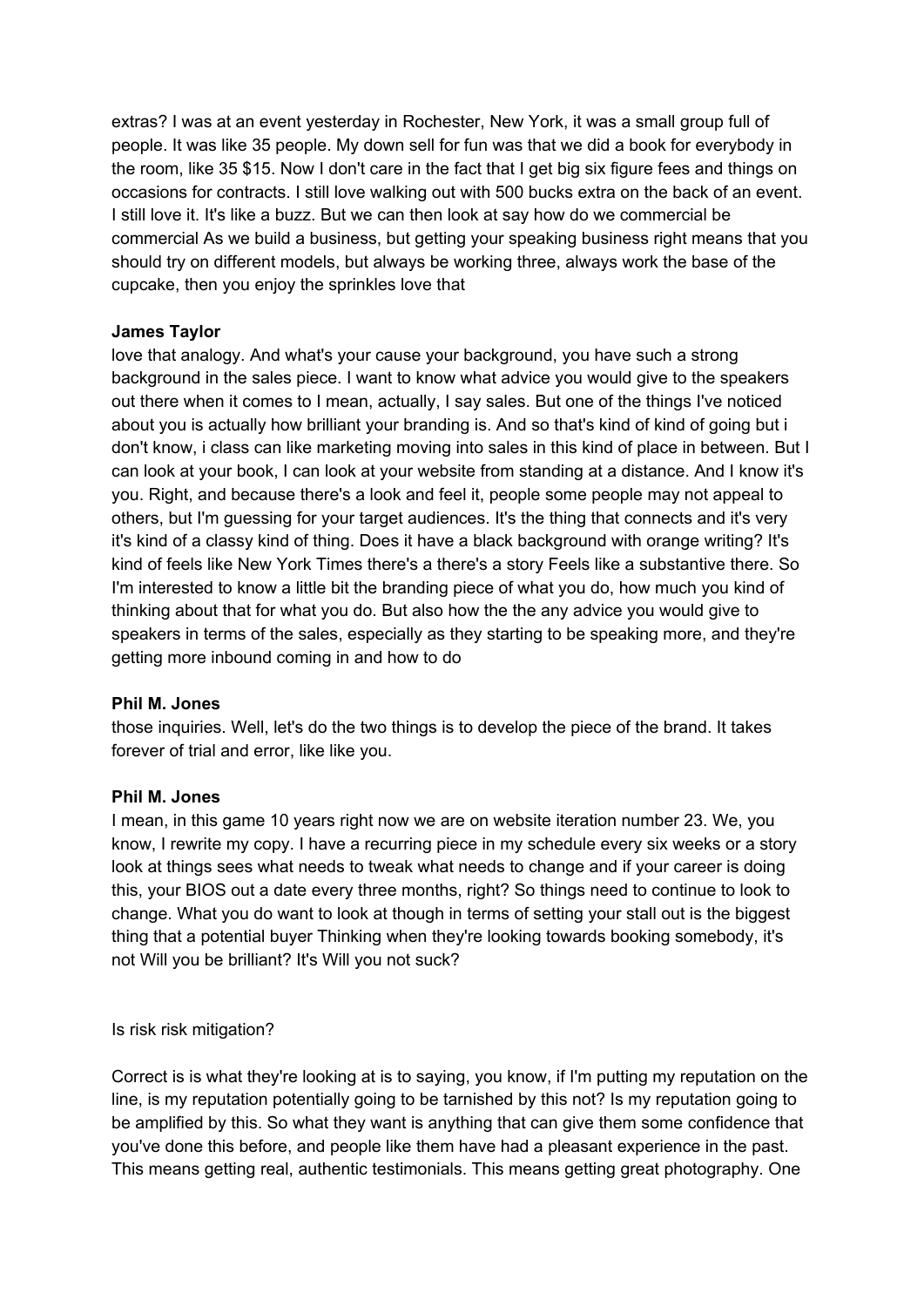extras? I was at an event yesterday in Rochester, New York, it was a small group full of people. It was like 35 people. My down sell for fun was that we did a book for everybody in the room, like 35 \$15. Now I don't care in the fact that I get big six figure fees and things on occasions for contracts. I still love walking out with 500 bucks extra on the back of an event. I still love it. It's like a buzz. But we can then look at say how do we commercial be commercial As we build a business, but getting your speaking business right means that you should try on different models, but always be working three, always work the base of the cupcake, then you enjoy the sprinkles love that

# **James Taylor**

love that analogy. And what's your cause your background, you have such a strong background in the sales piece. I want to know what advice you would give to the speakers out there when it comes to I mean, actually, I say sales. But one of the things I've noticed about you is actually how brilliant your branding is. And so that's kind of kind of going but i don't know, i class can like marketing moving into sales in this kind of place in between. But I can look at your book, I can look at your website from standing at a distance. And I know it's you. Right, and because there's a look and feel it, people some people may not appeal to others, but I'm guessing for your target audiences. It's the thing that connects and it's very it's kind of a classy kind of thing. Does it have a black background with orange writing? It's kind of feels like New York Times there's a there's a story Feels like a substantive there. So I'm interested to know a little bit the branding piece of what you do, how much you kind of thinking about that for what you do. But also how the the any advice you would give to speakers in terms of the sales, especially as they starting to be speaking more, and they're getting more inbound coming in and how to do

# **Phil M. Jones**

those inquiries. Well, let's do the two things is to develop the piece of the brand. It takes forever of trial and error, like like you.

# **Phil M. Jones**

I mean, in this game 10 years right now we are on website iteration number 23. We, you know, I rewrite my copy. I have a recurring piece in my schedule every six weeks or a story look at things sees what needs to tweak what needs to change and if your career is doing this, your BIOS out a date every three months, right? So things need to continue to look to change. What you do want to look at though in terms of setting your stall out is the biggest thing that a potential buyer Thinking when they're looking towards booking somebody, it's not Will you be brilliant? It's Will you not suck?

Is risk risk mitigation?

Correct is is what they're looking at is to saying, you know, if I'm putting my reputation on the line, is my reputation potentially going to be tarnished by this not? Is my reputation going to be amplified by this. So what they want is anything that can give them some confidence that you've done this before, and people like them have had a pleasant experience in the past. This means getting real, authentic testimonials. This means getting great photography. One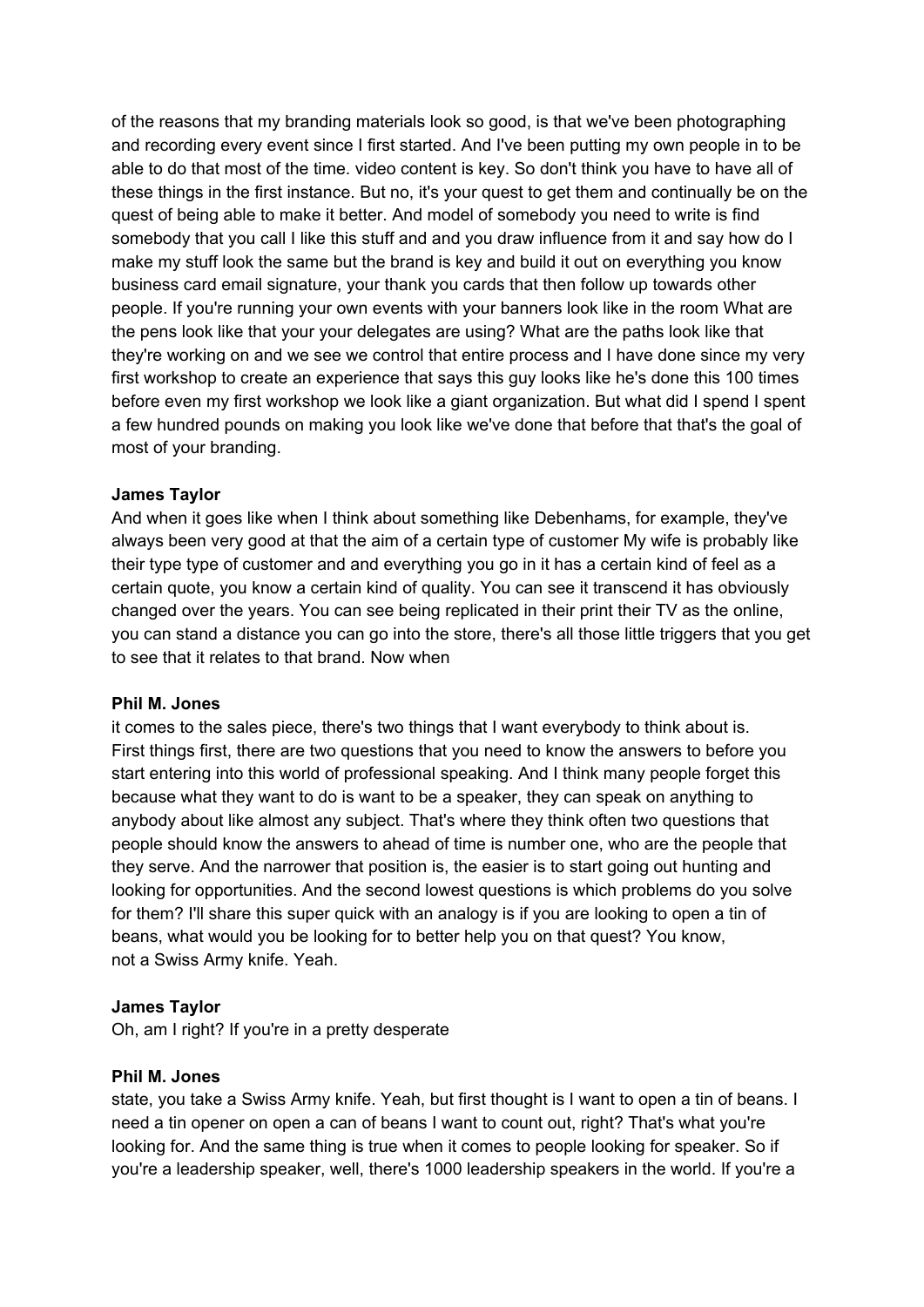of the reasons that my branding materials look so good, is that we've been photographing and recording every event since I first started. And I've been putting my own people in to be able to do that most of the time. video content is key. So don't think you have to have all of these things in the first instance. But no, it's your quest to get them and continually be on the quest of being able to make it better. And model of somebody you need to write is find somebody that you call I like this stuff and and you draw influence from it and say how do I make my stuff look the same but the brand is key and build it out on everything you know business card email signature, your thank you cards that then follow up towards other people. If you're running your own events with your banners look like in the room What are the pens look like that your your delegates are using? What are the paths look like that they're working on and we see we control that entire process and I have done since my very first workshop to create an experience that says this guy looks like he's done this 100 times before even my first workshop we look like a giant organization. But what did I spend I spent a few hundred pounds on making you look like we've done that before that that's the goal of most of your branding.

# **James Taylor**

And when it goes like when I think about something like Debenhams, for example, they've always been very good at that the aim of a certain type of customer My wife is probably like their type type of customer and and everything you go in it has a certain kind of feel as a certain quote, you know a certain kind of quality. You can see it transcend it has obviously changed over the years. You can see being replicated in their print their TV as the online, you can stand a distance you can go into the store, there's all those little triggers that you get to see that it relates to that brand. Now when

# **Phil M. Jones**

it comes to the sales piece, there's two things that I want everybody to think about is. First things first, there are two questions that you need to know the answers to before you start entering into this world of professional speaking. And I think many people forget this because what they want to do is want to be a speaker, they can speak on anything to anybody about like almost any subject. That's where they think often two questions that people should know the answers to ahead of time is number one, who are the people that they serve. And the narrower that position is, the easier is to start going out hunting and looking for opportunities. And the second lowest questions is which problems do you solve for them? I'll share this super quick with an analogy is if you are looking to open a tin of beans, what would you be looking for to better help you on that quest? You know, not a Swiss Army knife. Yeah.

# **James Taylor**

Oh, am I right? If you're in a pretty desperate

# **Phil M. Jones**

state, you take a Swiss Army knife. Yeah, but first thought is I want to open a tin of beans. I need a tin opener on open a can of beans I want to count out, right? That's what you're looking for. And the same thing is true when it comes to people looking for speaker. So if you're a leadership speaker, well, there's 1000 leadership speakers in the world. If you're a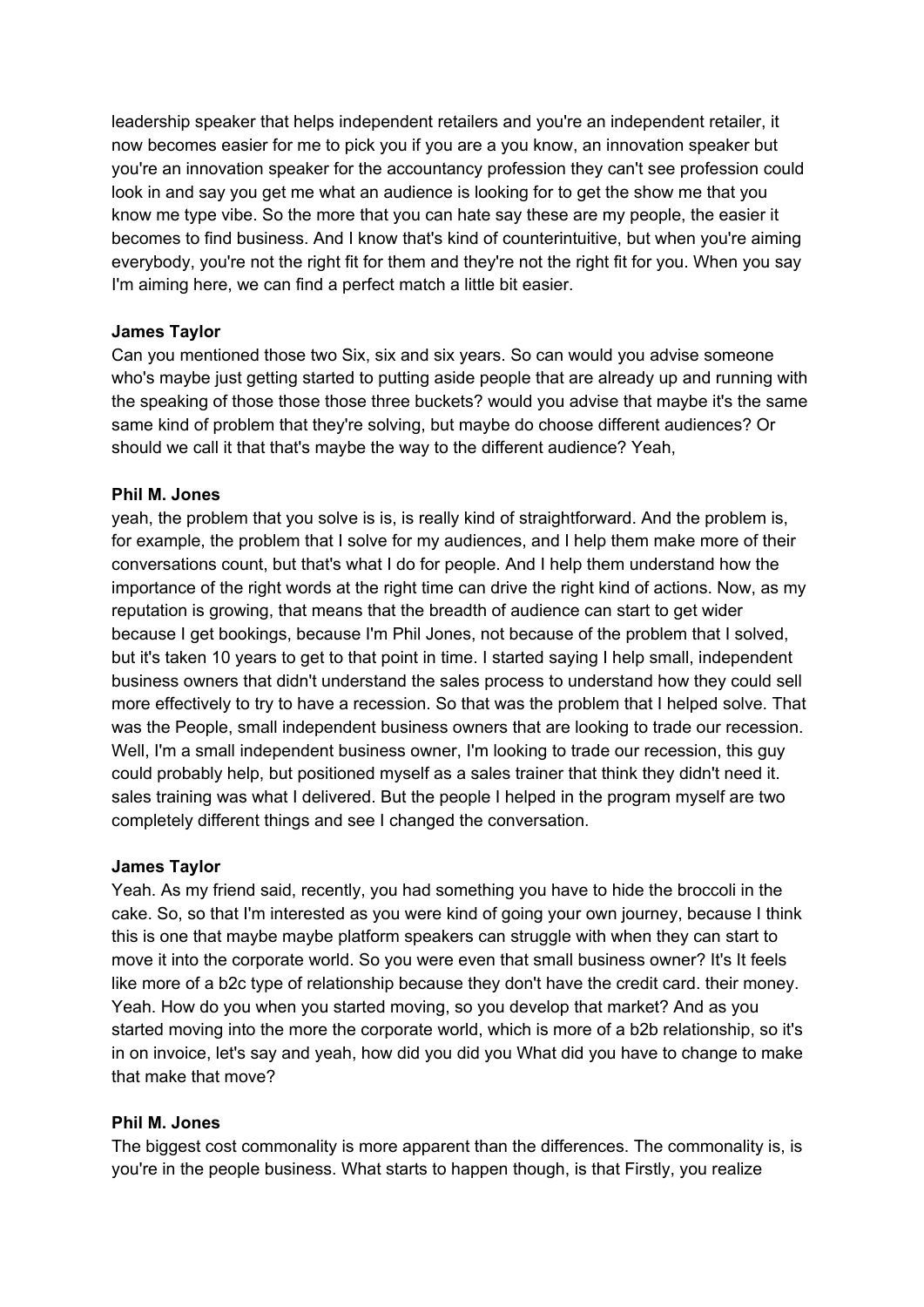leadership speaker that helps independent retailers and you're an independent retailer, it now becomes easier for me to pick you if you are a you know, an innovation speaker but you're an innovation speaker for the accountancy profession they can't see profession could look in and say you get me what an audience is looking for to get the show me that you know me type vibe. So the more that you can hate say these are my people, the easier it becomes to find business. And I know that's kind of counterintuitive, but when you're aiming everybody, you're not the right fit for them and they're not the right fit for you. When you say I'm aiming here, we can find a perfect match a little bit easier.

# **James Taylor**

Can you mentioned those two Six, six and six years. So can would you advise someone who's maybe just getting started to putting aside people that are already up and running with the speaking of those those those three buckets? would you advise that maybe it's the same same kind of problem that they're solving, but maybe do choose different audiences? Or should we call it that that's maybe the way to the different audience? Yeah,

#### **Phil M. Jones**

yeah, the problem that you solve is is, is really kind of straightforward. And the problem is, for example, the problem that I solve for my audiences, and I help them make more of their conversations count, but that's what I do for people. And I help them understand how the importance of the right words at the right time can drive the right kind of actions. Now, as my reputation is growing, that means that the breadth of audience can start to get wider because I get bookings, because I'm Phil Jones, not because of the problem that I solved, but it's taken 10 years to get to that point in time. I started saying I help small, independent business owners that didn't understand the sales process to understand how they could sell more effectively to try to have a recession. So that was the problem that I helped solve. That was the People, small independent business owners that are looking to trade our recession. Well, I'm a small independent business owner, I'm looking to trade our recession, this guy could probably help, but positioned myself as a sales trainer that think they didn't need it. sales training was what I delivered. But the people I helped in the program myself are two completely different things and see I changed the conversation.

### **James Taylor**

Yeah. As my friend said, recently, you had something you have to hide the broccoli in the cake. So, so that I'm interested as you were kind of going your own journey, because I think this is one that maybe maybe platform speakers can struggle with when they can start to move it into the corporate world. So you were even that small business owner? It's It feels like more of a b2c type of relationship because they don't have the credit card. their money. Yeah. How do you when you started moving, so you develop that market? And as you started moving into the more the corporate world, which is more of a b2b relationship, so it's in on invoice, let's say and yeah, how did you did you What did you have to change to make that make that move?

#### **Phil M. Jones**

The biggest cost commonality is more apparent than the differences. The commonality is, is you're in the people business. What starts to happen though, is that Firstly, you realize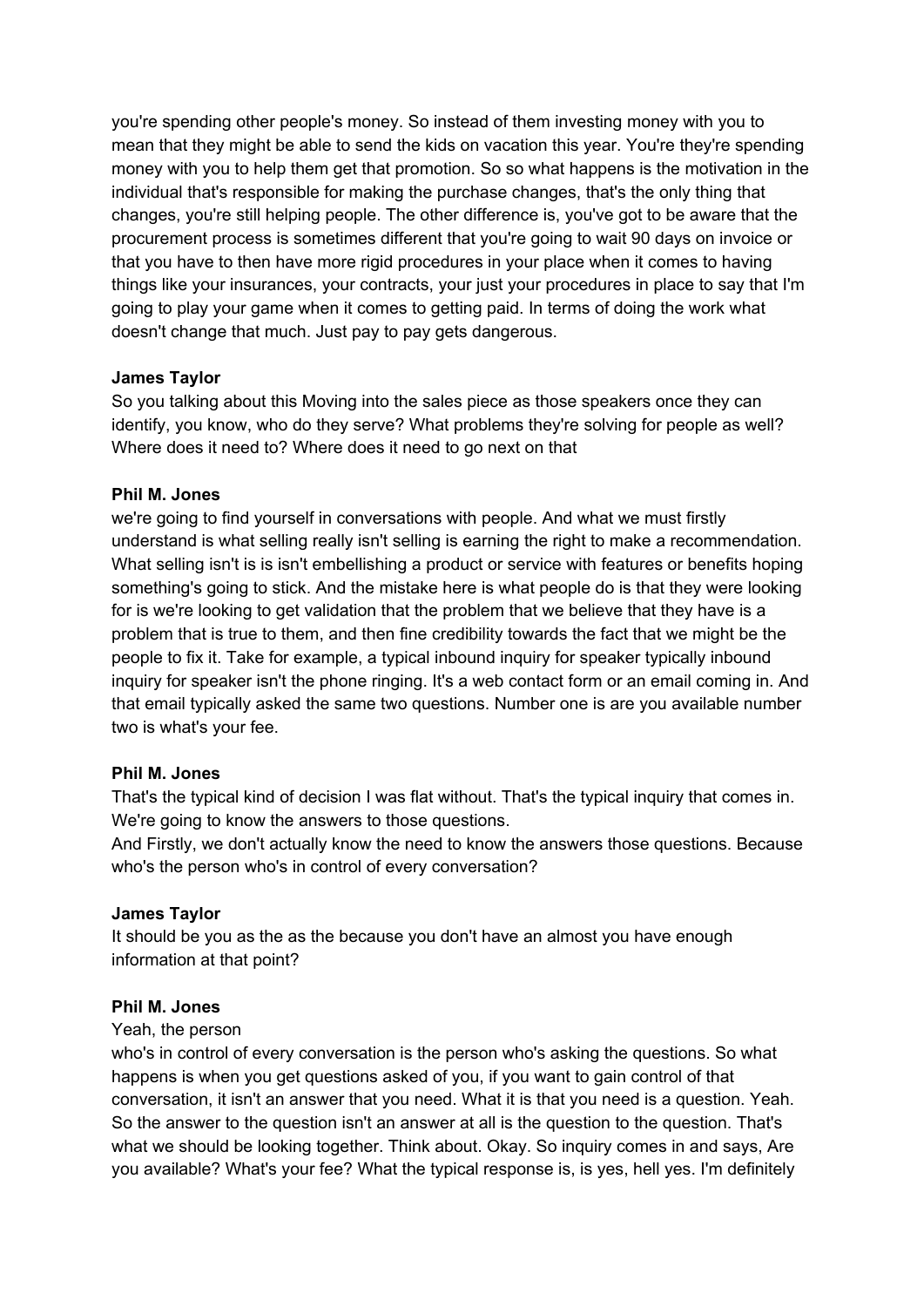you're spending other people's money. So instead of them investing money with you to mean that they might be able to send the kids on vacation this year. You're they're spending money with you to help them get that promotion. So so what happens is the motivation in the individual that's responsible for making the purchase changes, that's the only thing that changes, you're still helping people. The other difference is, you've got to be aware that the procurement process is sometimes different that you're going to wait 90 days on invoice or that you have to then have more rigid procedures in your place when it comes to having things like your insurances, your contracts, your just your procedures in place to say that I'm going to play your game when it comes to getting paid. In terms of doing the work what doesn't change that much. Just pay to pay gets dangerous.

# **James Taylor**

So you talking about this Moving into the sales piece as those speakers once they can identify, you know, who do they serve? What problems they're solving for people as well? Where does it need to? Where does it need to go next on that

# **Phil M. Jones**

we're going to find yourself in conversations with people. And what we must firstly understand is what selling really isn't selling is earning the right to make a recommendation. What selling isn't is is isn't embellishing a product or service with features or benefits hoping something's going to stick. And the mistake here is what people do is that they were looking for is we're looking to get validation that the problem that we believe that they have is a problem that is true to them, and then fine credibility towards the fact that we might be the people to fix it. Take for example, a typical inbound inquiry for speaker typically inbound inquiry for speaker isn't the phone ringing. It's a web contact form or an email coming in. And that email typically asked the same two questions. Number one is are you available number two is what's your fee.

# **Phil M. Jones**

That's the typical kind of decision I was flat without. That's the typical inquiry that comes in. We're going to know the answers to those questions.

And Firstly, we don't actually know the need to know the answers those questions. Because who's the person who's in control of every conversation?

# **James Taylor**

It should be you as the as the because you don't have an almost you have enough information at that point?

# **Phil M. Jones**

# Yeah, the person

who's in control of every conversation is the person who's asking the questions. So what happens is when you get questions asked of you, if you want to gain control of that conversation, it isn't an answer that you need. What it is that you need is a question. Yeah. So the answer to the question isn't an answer at all is the question to the question. That's what we should be looking together. Think about. Okay. So inquiry comes in and says, Are you available? What's your fee? What the typical response is, is yes, hell yes. I'm definitely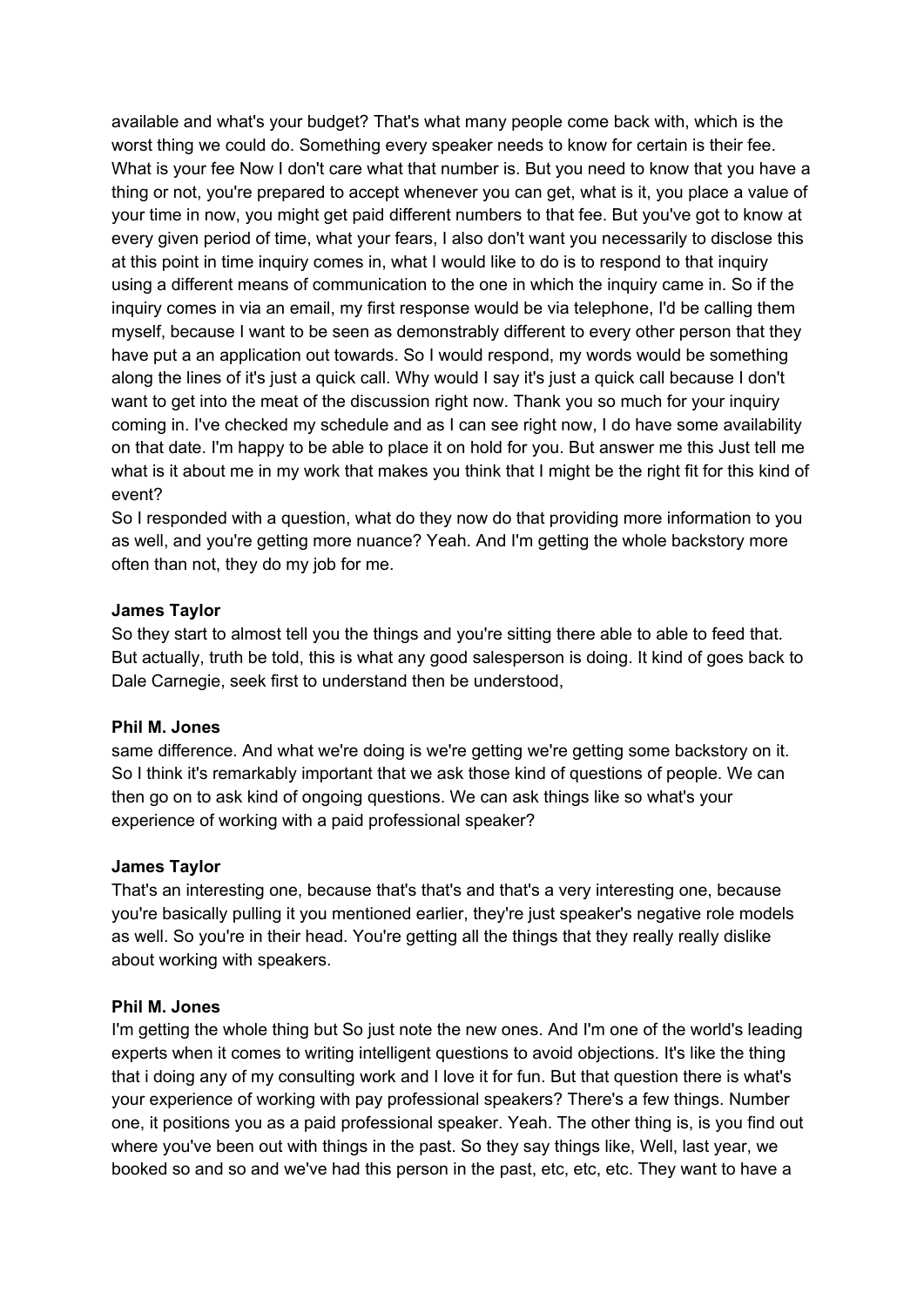available and what's your budget? That's what many people come back with, which is the worst thing we could do. Something every speaker needs to know for certain is their fee. What is your fee Now I don't care what that number is. But you need to know that you have a thing or not, you're prepared to accept whenever you can get, what is it, you place a value of your time in now, you might get paid different numbers to that fee. But you've got to know at every given period of time, what your fears, I also don't want you necessarily to disclose this at this point in time inquiry comes in, what I would like to do is to respond to that inquiry using a different means of communication to the one in which the inquiry came in. So if the inquiry comes in via an email, my first response would be via telephone, I'd be calling them myself, because I want to be seen as demonstrably different to every other person that they have put a an application out towards. So I would respond, my words would be something along the lines of it's just a quick call. Why would I say it's just a quick call because I don't want to get into the meat of the discussion right now. Thank you so much for your inquiry coming in. I've checked my schedule and as I can see right now, I do have some availability on that date. I'm happy to be able to place it on hold for you. But answer me this Just tell me what is it about me in my work that makes you think that I might be the right fit for this kind of event?

So I responded with a question, what do they now do that providing more information to you as well, and you're getting more nuance? Yeah. And I'm getting the whole backstory more often than not, they do my job for me.

# **James Taylor**

So they start to almost tell you the things and you're sitting there able to able to feed that. But actually, truth be told, this is what any good salesperson is doing. It kind of goes back to Dale Carnegie, seek first to understand then be understood,

#### **Phil M. Jones**

same difference. And what we're doing is we're getting we're getting some backstory on it. So I think it's remarkably important that we ask those kind of questions of people. We can then go on to ask kind of ongoing questions. We can ask things like so what's your experience of working with a paid professional speaker?

#### **James Taylor**

That's an interesting one, because that's that's and that's a very interesting one, because you're basically pulling it you mentioned earlier, they're just speaker's negative role models as well. So you're in their head. You're getting all the things that they really really dislike about working with speakers.

#### **Phil M. Jones**

I'm getting the whole thing but So just note the new ones. And I'm one of the world's leading experts when it comes to writing intelligent questions to avoid objections. It's like the thing that i doing any of my consulting work and I love it for fun. But that question there is what's your experience of working with pay professional speakers? There's a few things. Number one, it positions you as a paid professional speaker. Yeah. The other thing is, is you find out where you've been out with things in the past. So they say things like, Well, last year, we booked so and so and we've had this person in the past, etc, etc, etc. They want to have a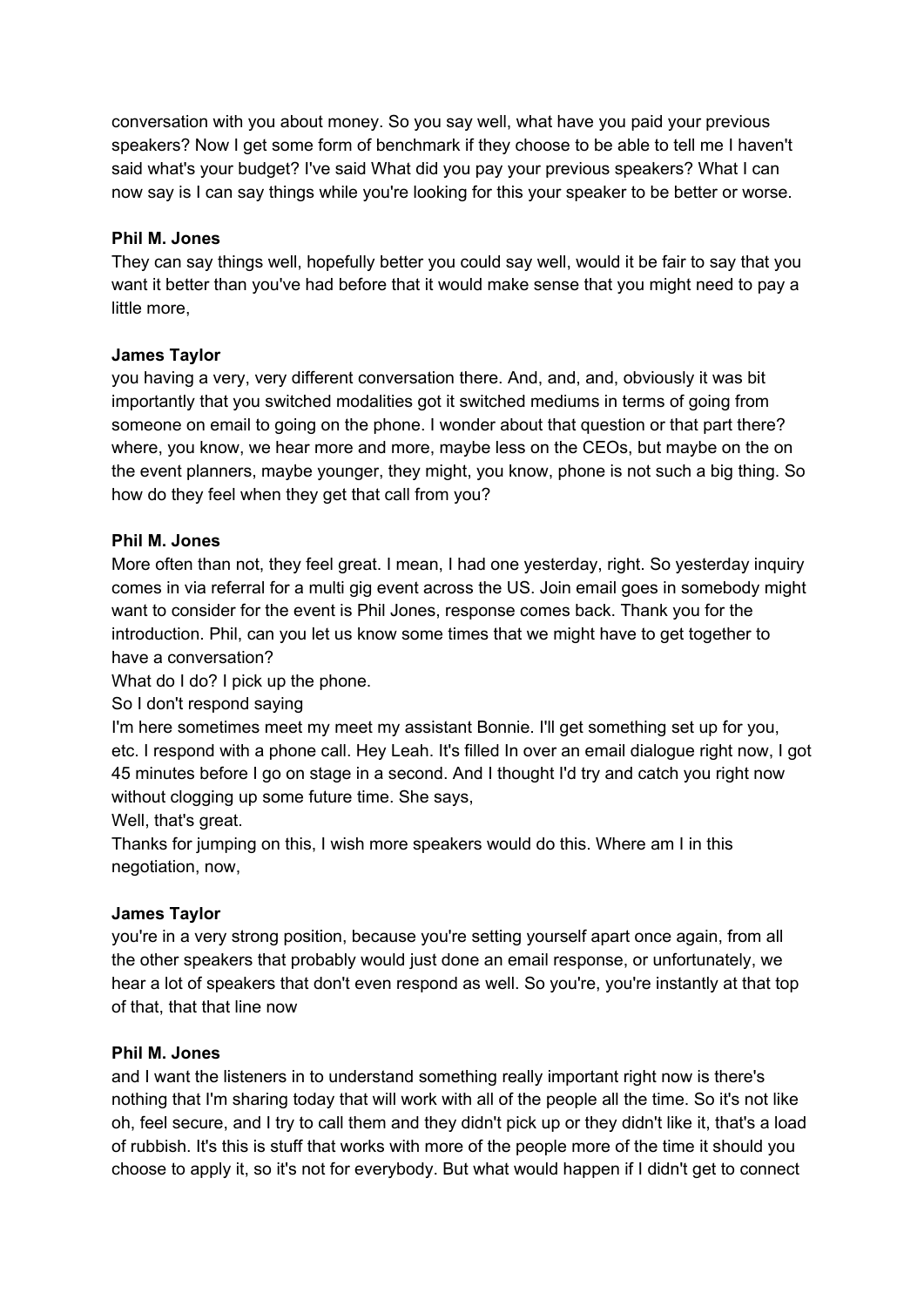conversation with you about money. So you say well, what have you paid your previous speakers? Now I get some form of benchmark if they choose to be able to tell me I haven't said what's your budget? I've said What did you pay your previous speakers? What I can now say is I can say things while you're looking for this your speaker to be better or worse.

# **Phil M. Jones**

They can say things well, hopefully better you could say well, would it be fair to say that you want it better than you've had before that it would make sense that you might need to pay a little more,

# **James Taylor**

you having a very, very different conversation there. And, and, and, obviously it was bit importantly that you switched modalities got it switched mediums in terms of going from someone on email to going on the phone. I wonder about that question or that part there? where, you know, we hear more and more, maybe less on the CEOs, but maybe on the on the event planners, maybe younger, they might, you know, phone is not such a big thing. So how do they feel when they get that call from you?

# **Phil M. Jones**

More often than not, they feel great. I mean, I had one yesterday, right. So yesterday inquiry comes in via referral for a multi gig event across the US. Join email goes in somebody might want to consider for the event is Phil Jones, response comes back. Thank you for the introduction. Phil, can you let us know some times that we might have to get together to have a conversation?

What do I do? I pick up the phone.

So I don't respond saying

I'm here sometimes meet my meet my assistant Bonnie. I'll get something set up for you, etc. I respond with a phone call. Hey Leah. It's filled In over an email dialogue right now, I got 45 minutes before I go on stage in a second. And I thought I'd try and catch you right now without clogging up some future time. She says,

Well, that's great.

Thanks for jumping on this, I wish more speakers would do this. Where am I in this negotiation, now,

# **James Taylor**

you're in a very strong position, because you're setting yourself apart once again, from all the other speakers that probably would just done an email response, or unfortunately, we hear a lot of speakers that don't even respond as well. So you're, you're instantly at that top of that, that that line now

# **Phil M. Jones**

and I want the listeners in to understand something really important right now is there's nothing that I'm sharing today that will work with all of the people all the time. So it's not like oh, feel secure, and I try to call them and they didn't pick up or they didn't like it, that's a load of rubbish. It's this is stuff that works with more of the people more of the time it should you choose to apply it, so it's not for everybody. But what would happen if I didn't get to connect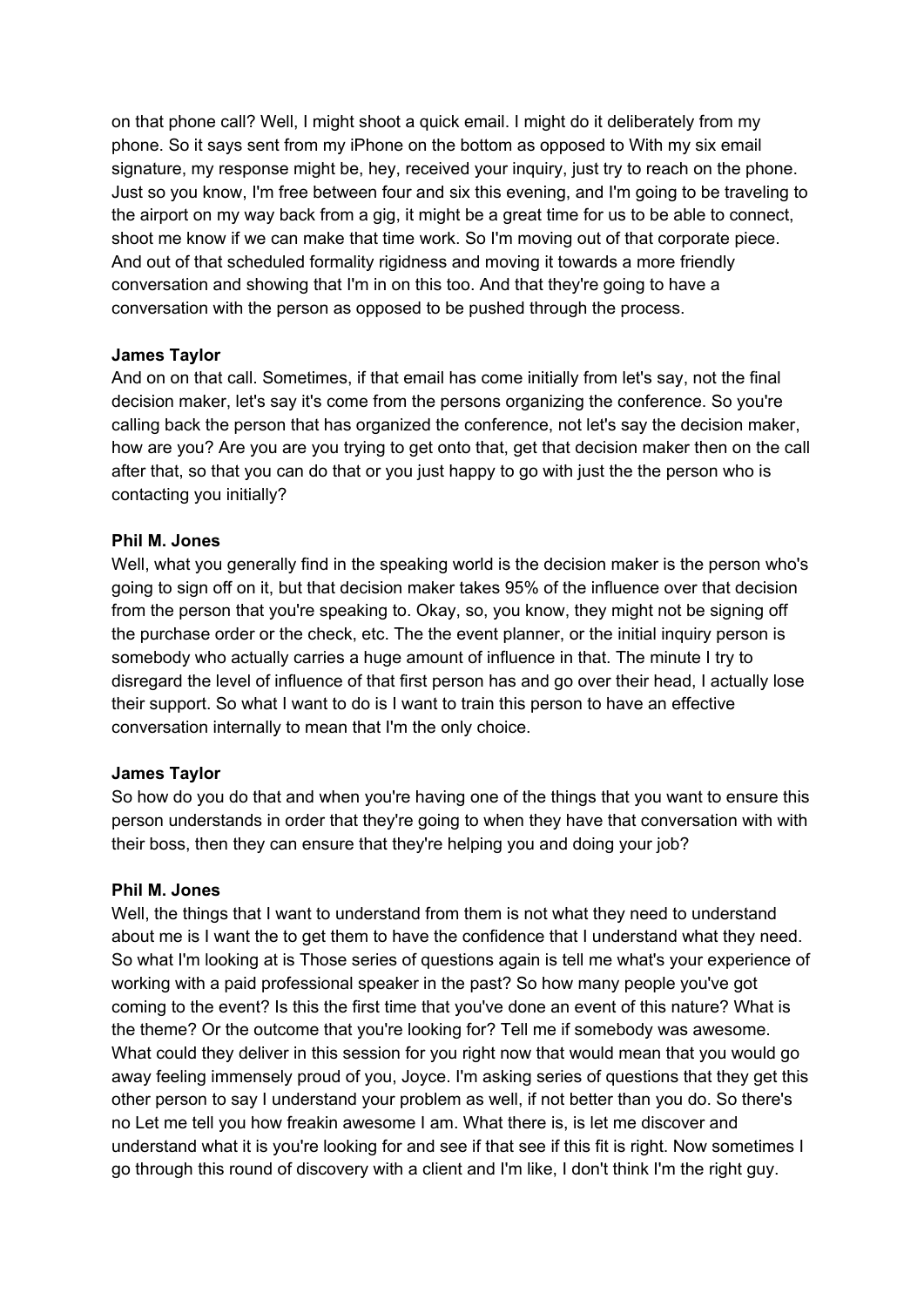on that phone call? Well, I might shoot a quick email. I might do it deliberately from my phone. So it says sent from my iPhone on the bottom as opposed to With my six email signature, my response might be, hey, received your inquiry, just try to reach on the phone. Just so you know, I'm free between four and six this evening, and I'm going to be traveling to the airport on my way back from a gig, it might be a great time for us to be able to connect, shoot me know if we can make that time work. So I'm moving out of that corporate piece. And out of that scheduled formality rigidness and moving it towards a more friendly conversation and showing that I'm in on this too. And that they're going to have a conversation with the person as opposed to be pushed through the process.

# **James Taylor**

And on on that call. Sometimes, if that email has come initially from let's say, not the final decision maker, let's say it's come from the persons organizing the conference. So you're calling back the person that has organized the conference, not let's say the decision maker, how are you? Are you are you trying to get onto that, get that decision maker then on the call after that, so that you can do that or you just happy to go with just the the person who is contacting you initially?

# **Phil M. Jones**

Well, what you generally find in the speaking world is the decision maker is the person who's going to sign off on it, but that decision maker takes 95% of the influence over that decision from the person that you're speaking to. Okay, so, you know, they might not be signing off the purchase order or the check, etc. The the event planner, or the initial inquiry person is somebody who actually carries a huge amount of influence in that. The minute I try to disregard the level of influence of that first person has and go over their head, I actually lose their support. So what I want to do is I want to train this person to have an effective conversation internally to mean that I'm the only choice.

# **James Taylor**

So how do you do that and when you're having one of the things that you want to ensure this person understands in order that they're going to when they have that conversation with with their boss, then they can ensure that they're helping you and doing your job?

# **Phil M. Jones**

Well, the things that I want to understand from them is not what they need to understand about me is I want the to get them to have the confidence that I understand what they need. So what I'm looking at is Those series of questions again is tell me what's your experience of working with a paid professional speaker in the past? So how many people you've got coming to the event? Is this the first time that you've done an event of this nature? What is the theme? Or the outcome that you're looking for? Tell me if somebody was awesome. What could they deliver in this session for you right now that would mean that you would go away feeling immensely proud of you, Joyce. I'm asking series of questions that they get this other person to say I understand your problem as well, if not better than you do. So there's no Let me tell you how freakin awesome I am. What there is, is let me discover and understand what it is you're looking for and see if that see if this fit is right. Now sometimes I go through this round of discovery with a client and I'm like, I don't think I'm the right guy.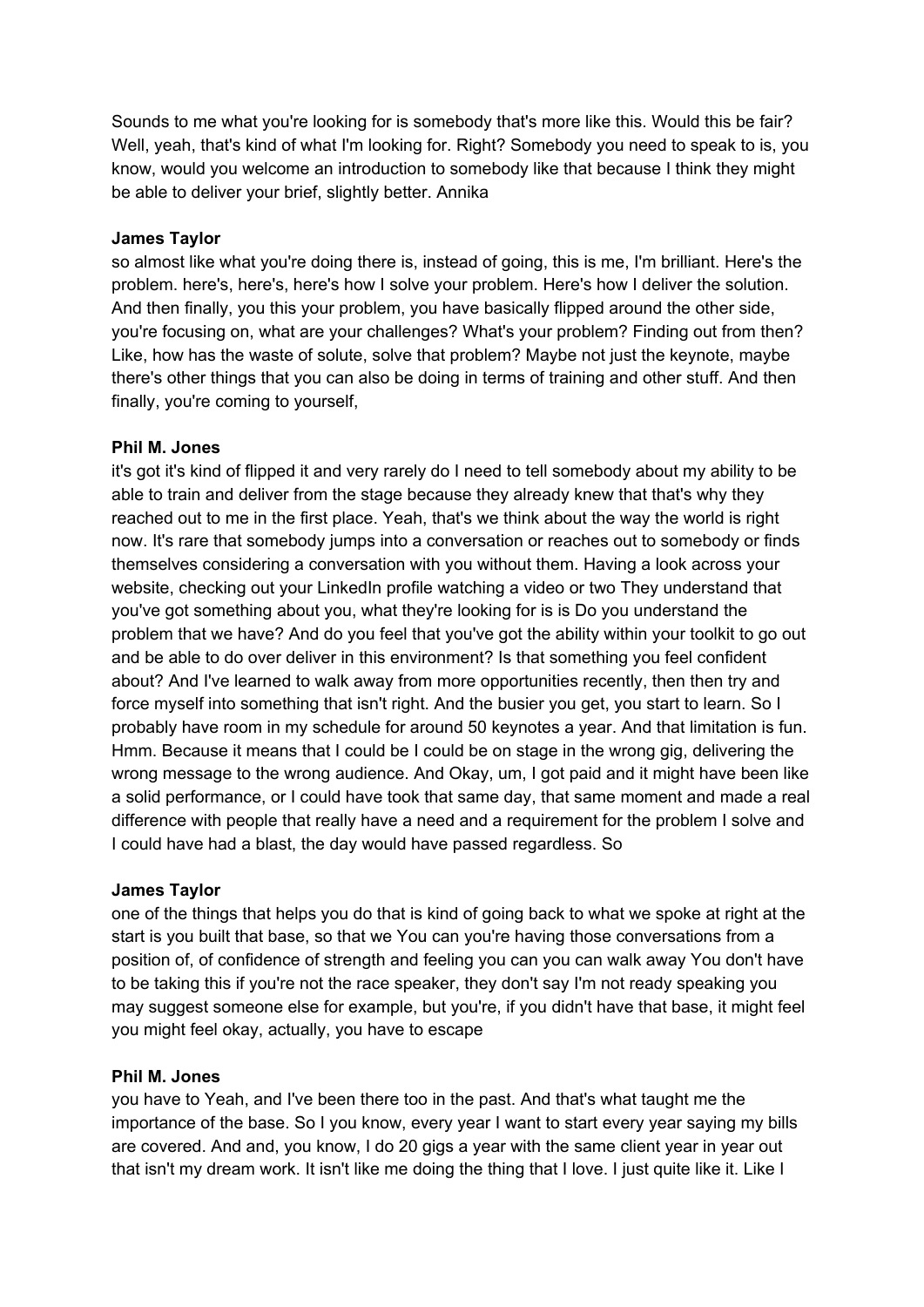Sounds to me what you're looking for is somebody that's more like this. Would this be fair? Well, yeah, that's kind of what I'm looking for. Right? Somebody you need to speak to is, you know, would you welcome an introduction to somebody like that because I think they might be able to deliver your brief, slightly better. Annika

# **James Taylor**

so almost like what you're doing there is, instead of going, this is me, I'm brilliant. Here's the problem. here's, here's, here's how I solve your problem. Here's how I deliver the solution. And then finally, you this your problem, you have basically flipped around the other side, you're focusing on, what are your challenges? What's your problem? Finding out from then? Like, how has the waste of solute, solve that problem? Maybe not just the keynote, maybe there's other things that you can also be doing in terms of training and other stuff. And then finally, you're coming to yourself,

# **Phil M. Jones**

it's got it's kind of flipped it and very rarely do I need to tell somebody about my ability to be able to train and deliver from the stage because they already knew that that's why they reached out to me in the first place. Yeah, that's we think about the way the world is right now. It's rare that somebody jumps into a conversation or reaches out to somebody or finds themselves considering a conversation with you without them. Having a look across your website, checking out your LinkedIn profile watching a video or two They understand that you've got something about you, what they're looking for is is Do you understand the problem that we have? And do you feel that you've got the ability within your toolkit to go out and be able to do over deliver in this environment? Is that something you feel confident about? And I've learned to walk away from more opportunities recently, then then try and force myself into something that isn't right. And the busier you get, you start to learn. So I probably have room in my schedule for around 50 keynotes a year. And that limitation is fun. Hmm. Because it means that I could be I could be on stage in the wrong gig, delivering the wrong message to the wrong audience. And Okay, um, I got paid and it might have been like a solid performance, or I could have took that same day, that same moment and made a real difference with people that really have a need and a requirement for the problem I solve and I could have had a blast, the day would have passed regardless. So

# **James Taylor**

one of the things that helps you do that is kind of going back to what we spoke at right at the start is you built that base, so that we You can you're having those conversations from a position of, of confidence of strength and feeling you can you can walk away You don't have to be taking this if you're not the race speaker, they don't say I'm not ready speaking you may suggest someone else for example, but you're, if you didn't have that base, it might feel you might feel okay, actually, you have to escape

# **Phil M. Jones**

you have to Yeah, and I've been there too in the past. And that's what taught me the importance of the base. So I you know, every year I want to start every year saying my bills are covered. And and, you know, I do 20 gigs a year with the same client year in year out that isn't my dream work. It isn't like me doing the thing that I love. I just quite like it. Like I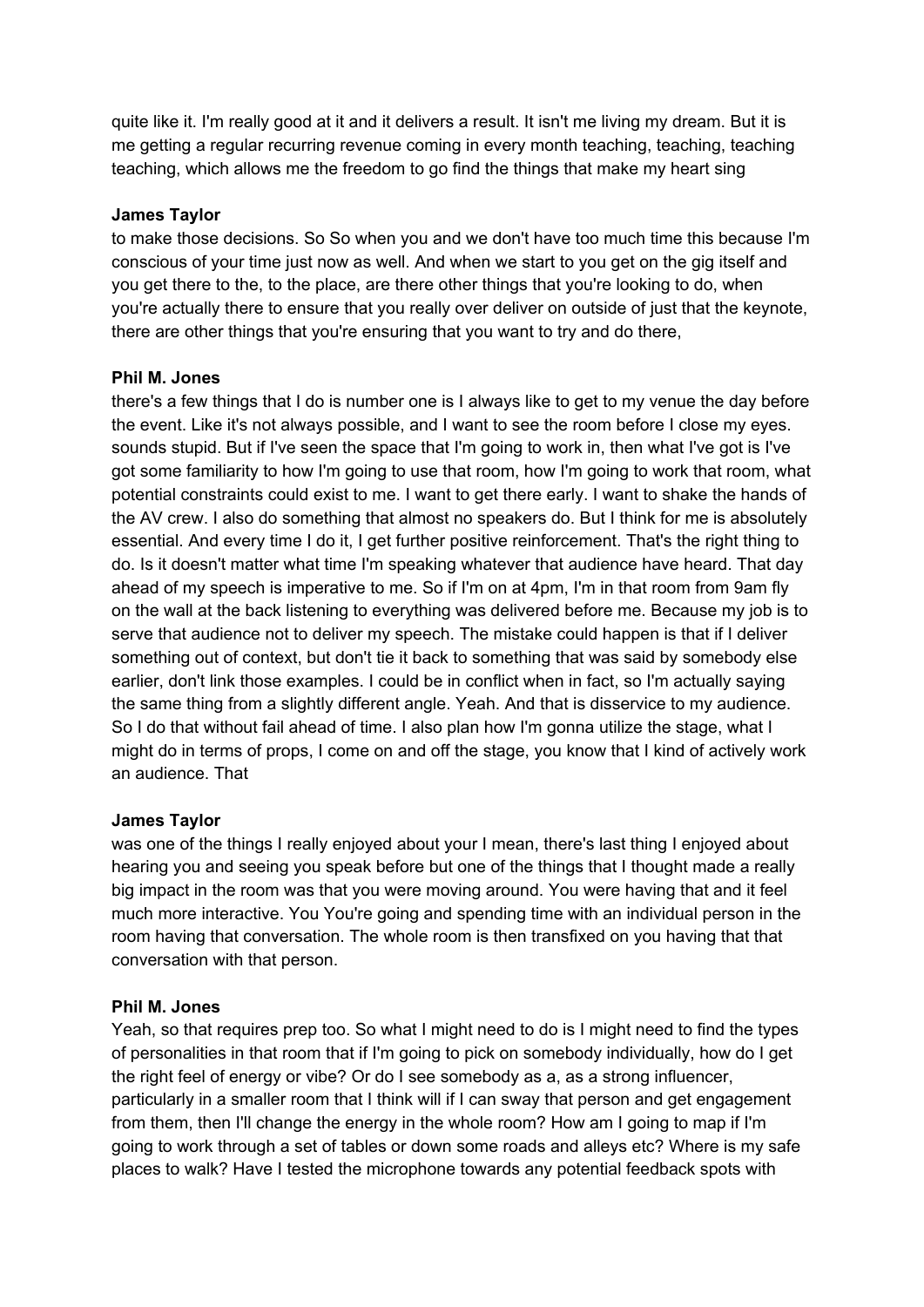quite like it. I'm really good at it and it delivers a result. It isn't me living my dream. But it is me getting a regular recurring revenue coming in every month teaching, teaching, teaching teaching, which allows me the freedom to go find the things that make my heart sing

# **James Taylor**

to make those decisions. So So when you and we don't have too much time this because I'm conscious of your time just now as well. And when we start to you get on the gig itself and you get there to the, to the place, are there other things that you're looking to do, when you're actually there to ensure that you really over deliver on outside of just that the keynote, there are other things that you're ensuring that you want to try and do there,

# **Phil M. Jones**

there's a few things that I do is number one is I always like to get to my venue the day before the event. Like it's not always possible, and I want to see the room before I close my eyes. sounds stupid. But if I've seen the space that I'm going to work in, then what I've got is I've got some familiarity to how I'm going to use that room, how I'm going to work that room, what potential constraints could exist to me. I want to get there early. I want to shake the hands of the AV crew. I also do something that almost no speakers do. But I think for me is absolutely essential. And every time I do it, I get further positive reinforcement. That's the right thing to do. Is it doesn't matter what time I'm speaking whatever that audience have heard. That day ahead of my speech is imperative to me. So if I'm on at 4pm, I'm in that room from 9am fly on the wall at the back listening to everything was delivered before me. Because my job is to serve that audience not to deliver my speech. The mistake could happen is that if I deliver something out of context, but don't tie it back to something that was said by somebody else earlier, don't link those examples. I could be in conflict when in fact, so I'm actually saying the same thing from a slightly different angle. Yeah. And that is disservice to my audience. So I do that without fail ahead of time. I also plan how I'm gonna utilize the stage, what I might do in terms of props, I come on and off the stage, you know that I kind of actively work an audience. That

# **James Taylor**

was one of the things I really enjoyed about your I mean, there's last thing I enjoyed about hearing you and seeing you speak before but one of the things that I thought made a really big impact in the room was that you were moving around. You were having that and it feel much more interactive. You You're going and spending time with an individual person in the room having that conversation. The whole room is then transfixed on you having that that conversation with that person.

# **Phil M. Jones**

Yeah, so that requires prep too. So what I might need to do is I might need to find the types of personalities in that room that if I'm going to pick on somebody individually, how do I get the right feel of energy or vibe? Or do I see somebody as a, as a strong influencer, particularly in a smaller room that I think will if I can sway that person and get engagement from them, then I'll change the energy in the whole room? How am I going to map if I'm going to work through a set of tables or down some roads and alleys etc? Where is my safe places to walk? Have I tested the microphone towards any potential feedback spots with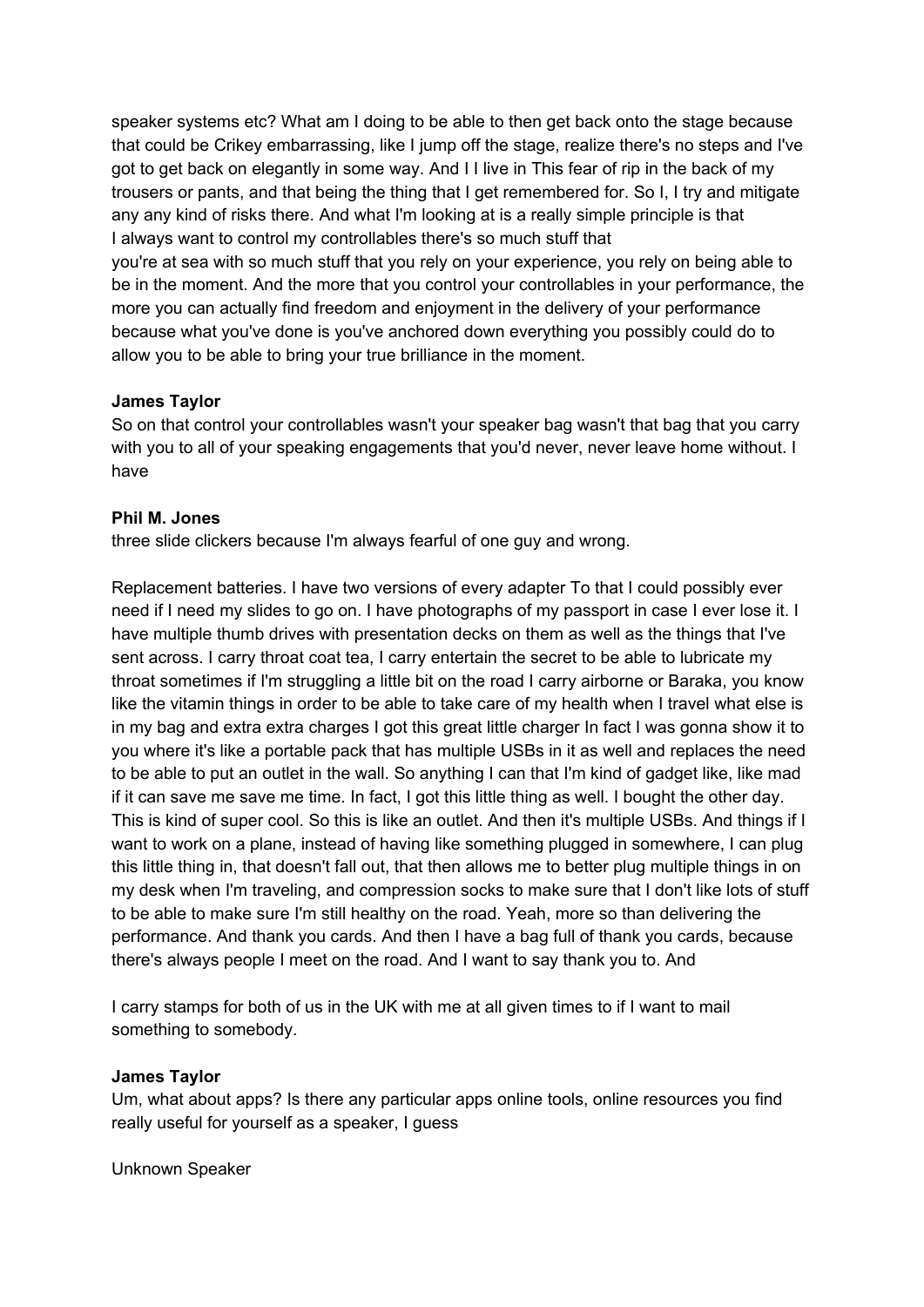speaker systems etc? What am I doing to be able to then get back onto the stage because that could be Crikey embarrassing, like I jump off the stage, realize there's no steps and I've got to get back on elegantly in some way. And I I live in This fear of rip in the back of my trousers or pants, and that being the thing that I get remembered for. So I, I try and mitigate any any kind of risks there. And what I'm looking at is a really simple principle is that I always want to control my controllables there's so much stuff that you're at sea with so much stuff that you rely on your experience, you rely on being able to be in the moment. And the more that you control your controllables in your performance, the more you can actually find freedom and enjoyment in the delivery of your performance because what you've done is you've anchored down everything you possibly could do to allow you to be able to bring your true brilliance in the moment.

# **James Taylor**

So on that control your controllables wasn't your speaker bag wasn't that bag that you carry with you to all of your speaking engagements that you'd never, never leave home without. I have

# **Phil M. Jones**

three slide clickers because I'm always fearful of one guy and wrong.

Replacement batteries. I have two versions of every adapter To that I could possibly ever need if I need my slides to go on. I have photographs of my passport in case I ever lose it. I have multiple thumb drives with presentation decks on them as well as the things that I've sent across. I carry throat coat tea, I carry entertain the secret to be able to lubricate my throat sometimes if I'm struggling a little bit on the road I carry airborne or Baraka, you know like the vitamin things in order to be able to take care of my health when I travel what else is in my bag and extra extra charges I got this great little charger In fact I was gonna show it to you where it's like a portable pack that has multiple USBs in it as well and replaces the need to be able to put an outlet in the wall. So anything I can that I'm kind of gadget like, like mad if it can save me save me time. In fact, I got this little thing as well. I bought the other day. This is kind of super cool. So this is like an outlet. And then it's multiple USBs. And things if I want to work on a plane, instead of having like something plugged in somewhere, I can plug this little thing in, that doesn't fall out, that then allows me to better plug multiple things in on my desk when I'm traveling, and compression socks to make sure that I don't like lots of stuff to be able to make sure I'm still healthy on the road. Yeah, more so than delivering the performance. And thank you cards. And then I have a bag full of thank you cards, because there's always people I meet on the road. And I want to say thank you to. And

I carry stamps for both of us in the UK with me at all given times to if I want to mail something to somebody.

# **James Taylor**

Um, what about apps? Is there any particular apps online tools, online resources you find really useful for yourself as a speaker, I guess

Unknown Speaker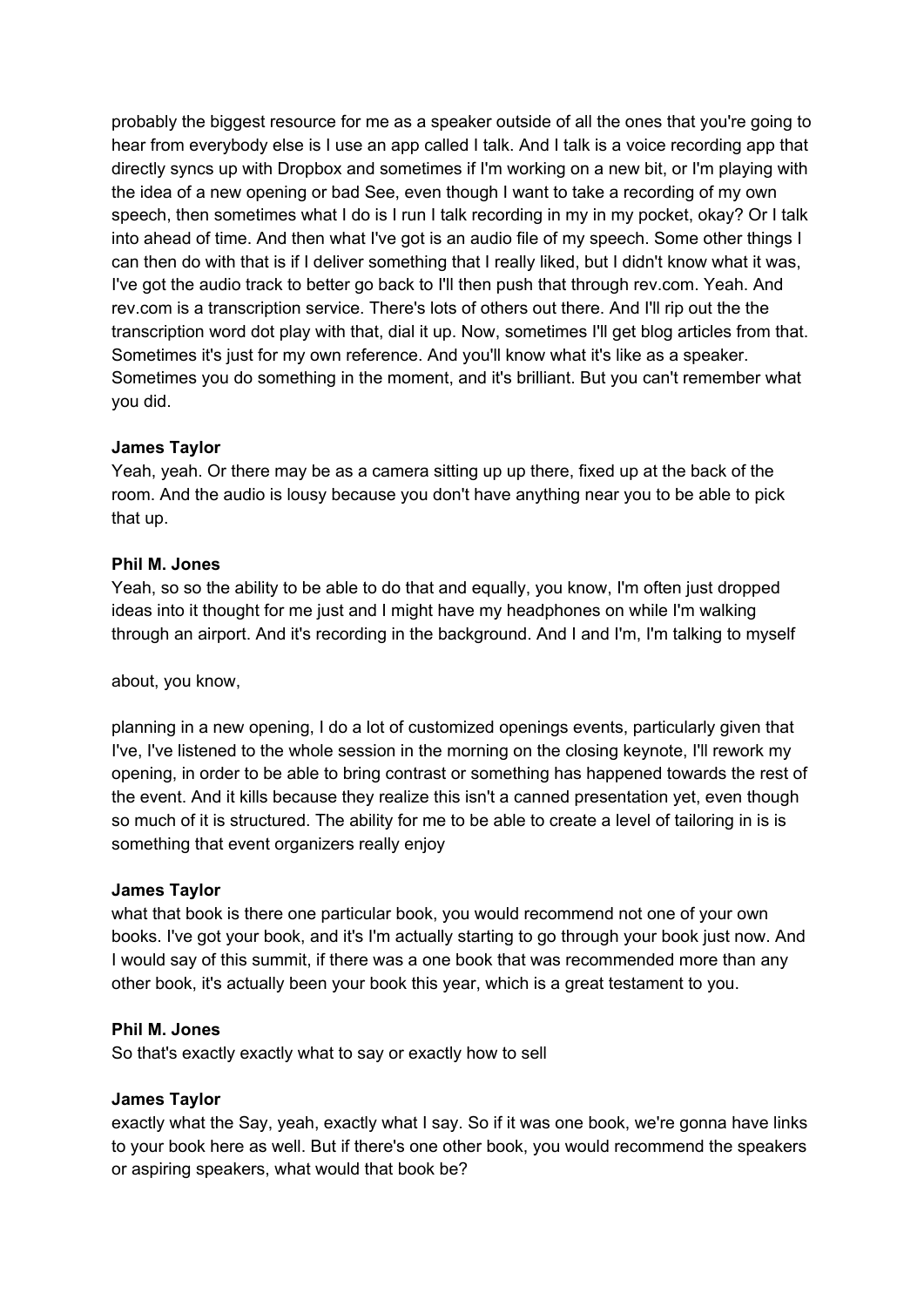probably the biggest resource for me as a speaker outside of all the ones that you're going to hear from everybody else is I use an app called I talk. And I talk is a voice recording app that directly syncs up with Dropbox and sometimes if I'm working on a new bit, or I'm playing with the idea of a new opening or bad See, even though I want to take a recording of my own speech, then sometimes what I do is I run I talk recording in my in my pocket, okay? Or I talk into ahead of time. And then what I've got is an audio file of my speech. Some other things I can then do with that is if I deliver something that I really liked, but I didn't know what it was, I've got the audio track to better go back to I'll then push that through rev.com. Yeah. And rev.com is a transcription service. There's lots of others out there. And I'll rip out the the transcription word dot play with that, dial it up. Now, sometimes I'll get blog articles from that. Sometimes it's just for my own reference. And you'll know what it's like as a speaker. Sometimes you do something in the moment, and it's brilliant. But you can't remember what you did.

# **James Taylor**

Yeah, yeah. Or there may be as a camera sitting up up there, fixed up at the back of the room. And the audio is lousy because you don't have anything near you to be able to pick that up.

# **Phil M. Jones**

Yeah, so so the ability to be able to do that and equally, you know, I'm often just dropped ideas into it thought for me just and I might have my headphones on while I'm walking through an airport. And it's recording in the background. And I and I'm, I'm talking to myself

about, you know,

planning in a new opening, I do a lot of customized openings events, particularly given that I've, I've listened to the whole session in the morning on the closing keynote, I'll rework my opening, in order to be able to bring contrast or something has happened towards the rest of the event. And it kills because they realize this isn't a canned presentation yet, even though so much of it is structured. The ability for me to be able to create a level of tailoring in is is something that event organizers really enjoy

# **James Taylor**

what that book is there one particular book, you would recommend not one of your own books. I've got your book, and it's I'm actually starting to go through your book just now. And I would say of this summit, if there was a one book that was recommended more than any other book, it's actually been your book this year, which is a great testament to you.

# **Phil M. Jones**

So that's exactly exactly what to say or exactly how to sell

# **James Taylor**

exactly what the Say, yeah, exactly what I say. So if it was one book, we're gonna have links to your book here as well. But if there's one other book, you would recommend the speakers or aspiring speakers, what would that book be?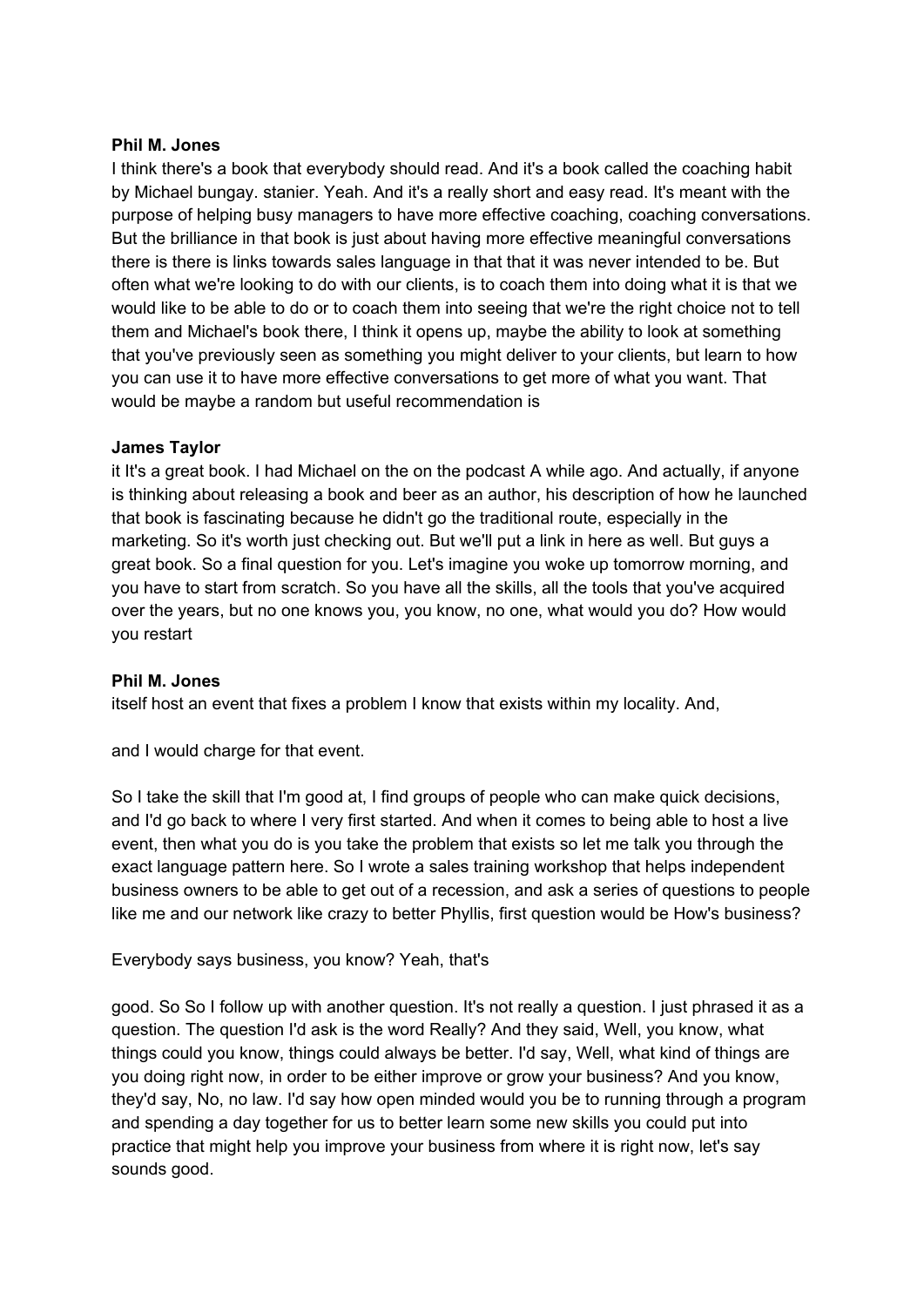### **Phil M. Jones**

I think there's a book that everybody should read. And it's a book called the coaching habit by Michael bungay. stanier. Yeah. And it's a really short and easy read. It's meant with the purpose of helping busy managers to have more effective coaching, coaching conversations. But the brilliance in that book is just about having more effective meaningful conversations there is there is links towards sales language in that that it was never intended to be. But often what we're looking to do with our clients, is to coach them into doing what it is that we would like to be able to do or to coach them into seeing that we're the right choice not to tell them and Michael's book there, I think it opens up, maybe the ability to look at something that you've previously seen as something you might deliver to your clients, but learn to how you can use it to have more effective conversations to get more of what you want. That would be maybe a random but useful recommendation is

# **James Taylor**

it It's a great book. I had Michael on the on the podcast A while ago. And actually, if anyone is thinking about releasing a book and beer as an author, his description of how he launched that book is fascinating because he didn't go the traditional route, especially in the marketing. So it's worth just checking out. But we'll put a link in here as well. But guys a great book. So a final question for you. Let's imagine you woke up tomorrow morning, and you have to start from scratch. So you have all the skills, all the tools that you've acquired over the years, but no one knows you, you know, no one, what would you do? How would you restart

# **Phil M. Jones**

itself host an event that fixes a problem I know that exists within my locality. And,

and I would charge for that event.

So I take the skill that I'm good at, I find groups of people who can make quick decisions, and I'd go back to where I very first started. And when it comes to being able to host a live event, then what you do is you take the problem that exists so let me talk you through the exact language pattern here. So I wrote a sales training workshop that helps independent business owners to be able to get out of a recession, and ask a series of questions to people like me and our network like crazy to better Phyllis, first question would be How's business?

Everybody says business, you know? Yeah, that's

good. So So I follow up with another question. It's not really a question. I just phrased it as a question. The question I'd ask is the word Really? And they said, Well, you know, what things could you know, things could always be better. I'd say, Well, what kind of things are you doing right now, in order to be either improve or grow your business? And you know, they'd say, No, no law. I'd say how open minded would you be to running through a program and spending a day together for us to better learn some new skills you could put into practice that might help you improve your business from where it is right now, let's say sounds good.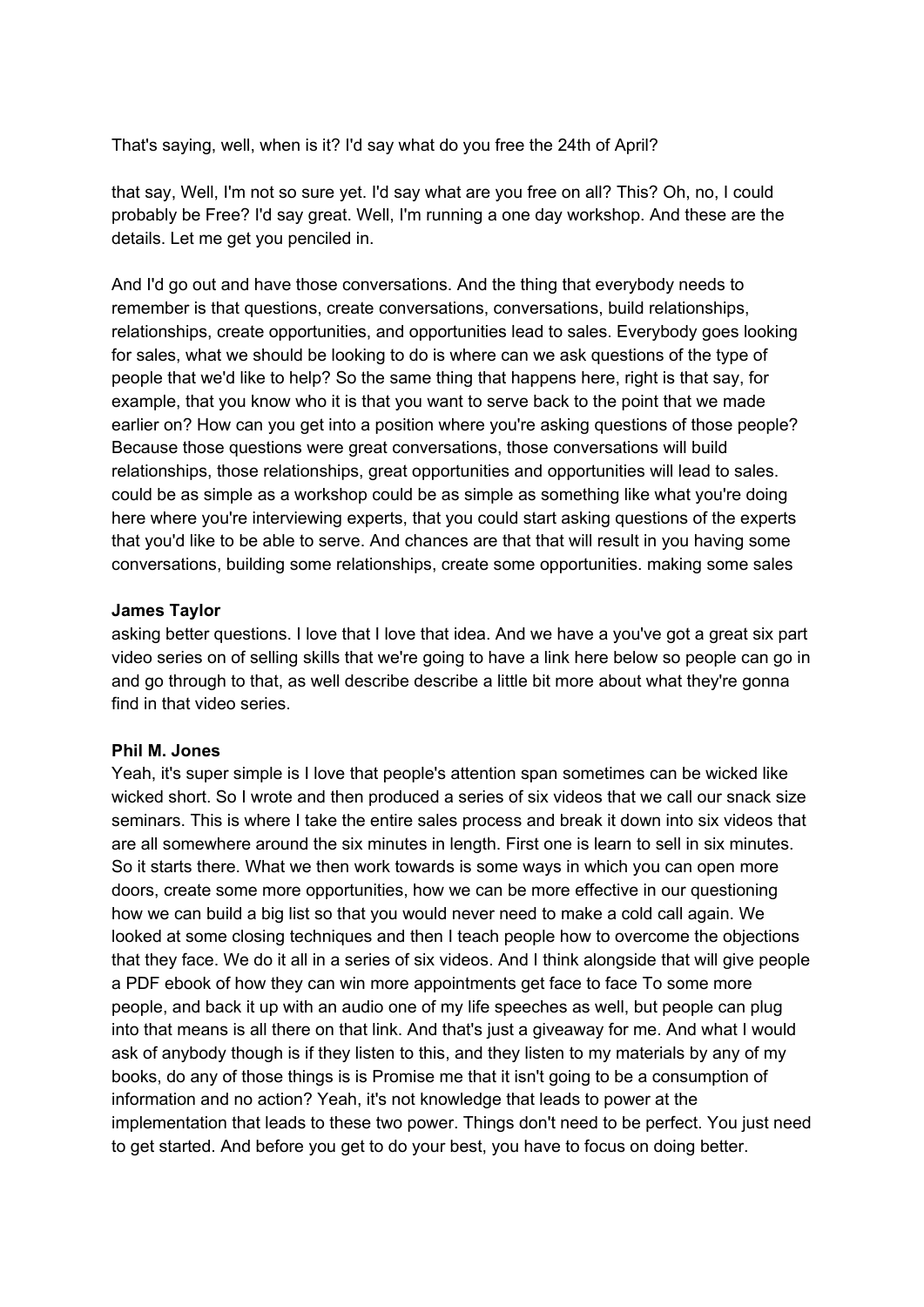That's saying, well, when is it? I'd say what do you free the 24th of April?

that say, Well, I'm not so sure yet. I'd say what are you free on all? This? Oh, no, I could probably be Free? I'd say great. Well, I'm running a one day workshop. And these are the details. Let me get you penciled in.

And I'd go out and have those conversations. And the thing that everybody needs to remember is that questions, create conversations, conversations, build relationships, relationships, create opportunities, and opportunities lead to sales. Everybody goes looking for sales, what we should be looking to do is where can we ask questions of the type of people that we'd like to help? So the same thing that happens here, right is that say, for example, that you know who it is that you want to serve back to the point that we made earlier on? How can you get into a position where you're asking questions of those people? Because those questions were great conversations, those conversations will build relationships, those relationships, great opportunities and opportunities will lead to sales. could be as simple as a workshop could be as simple as something like what you're doing here where you're interviewing experts, that you could start asking questions of the experts that you'd like to be able to serve. And chances are that that will result in you having some conversations, building some relationships, create some opportunities. making some sales

# **James Taylor**

asking better questions. I love that I love that idea. And we have a you've got a great six part video series on of selling skills that we're going to have a link here below so people can go in and go through to that, as well describe describe a little bit more about what they're gonna find in that video series.

# **Phil M. Jones**

Yeah, it's super simple is I love that people's attention span sometimes can be wicked like wicked short. So I wrote and then produced a series of six videos that we call our snack size seminars. This is where I take the entire sales process and break it down into six videos that are all somewhere around the six minutes in length. First one is learn to sell in six minutes. So it starts there. What we then work towards is some ways in which you can open more doors, create some more opportunities, how we can be more effective in our questioning how we can build a big list so that you would never need to make a cold call again. We looked at some closing techniques and then I teach people how to overcome the objections that they face. We do it all in a series of six videos. And I think alongside that will give people a PDF ebook of how they can win more appointments get face to face To some more people, and back it up with an audio one of my life speeches as well, but people can plug into that means is all there on that link. And that's just a giveaway for me. And what I would ask of anybody though is if they listen to this, and they listen to my materials by any of my books, do any of those things is is Promise me that it isn't going to be a consumption of information and no action? Yeah, it's not knowledge that leads to power at the implementation that leads to these two power. Things don't need to be perfect. You just need to get started. And before you get to do your best, you have to focus on doing better.